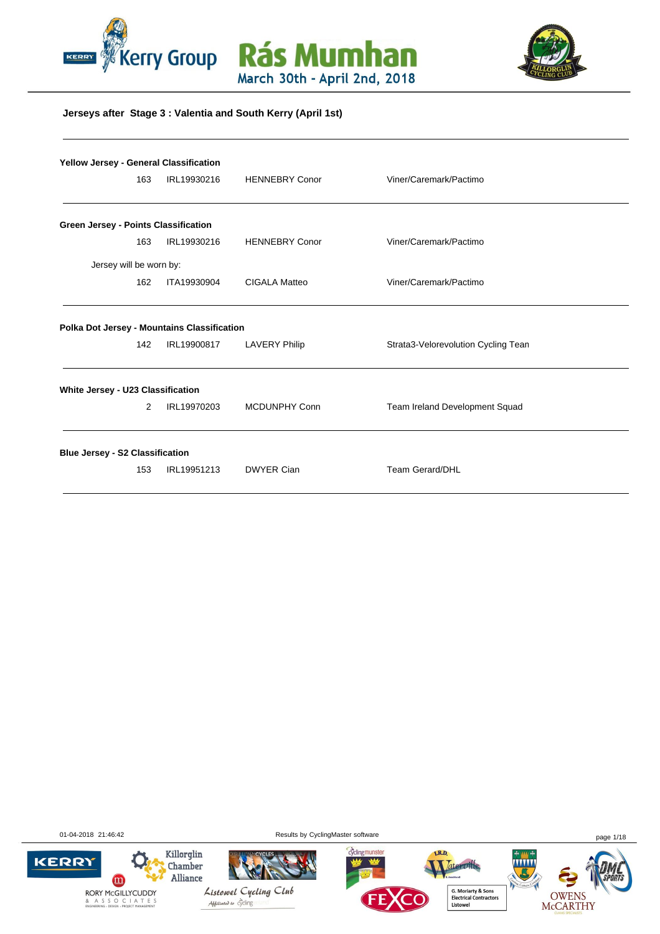





#### **Jerseys after Stage 3 : Valentia and South Kerry (April 1st)**

| Yellow Jersey - General Classification             |   |             |                       |                                     |
|----------------------------------------------------|---|-------------|-----------------------|-------------------------------------|
| 163                                                |   | IRL19930216 | <b>HENNEBRY Conor</b> | Viner/Caremark/Pactimo              |
| <b>Green Jersey - Points Classification</b>        |   |             |                       |                                     |
| 163                                                |   | IRL19930216 | <b>HENNEBRY Conor</b> | Viner/Caremark/Pactimo              |
| Jersey will be worn by:                            |   |             |                       |                                     |
| 162                                                |   | ITA19930904 | CIGALA Matteo         | Viner/Caremark/Pactimo              |
| Polka Dot Jersey - Mountains Classification<br>142 |   | IRL19900817 | <b>LAVERY Philip</b>  | Strata3-Velorevolution Cycling Tean |
| White Jersey - U23 Classification                  |   |             |                       |                                     |
|                                                    | 2 | IRL19970203 | <b>MCDUNPHY Conn</b>  | Team Ireland Development Squad      |
| <b>Blue Jersey - S2 Classification</b>             |   |             |                       |                                     |
| 153                                                |   | IRL19951213 | <b>DWYER Cian</b>     | <b>Team Gerard/DHL</b>              |
|                                                    |   |             |                       |                                     |

01-04-2018 21:46:42 Results by CyclingMaster software page 1/18

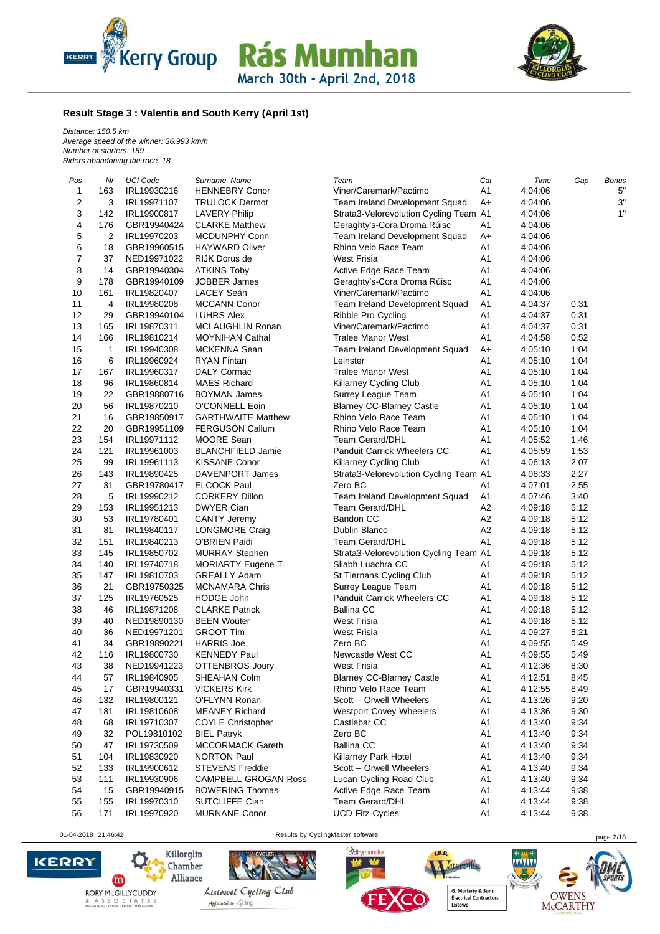



#### **Result Stage 3 : Valentia and South Kerry (April 1st)**

*Distance: 150.5 km Average speed of the winner: 36.993 km/h Number of starters: 159 Riders abandoning the race: 18*

| Pos            | Nr  | <b>UCI Code</b> | Surname, Name               | Team                                   | Cat            | Time    | Gap  | <b>Bonus</b> |
|----------------|-----|-----------------|-----------------------------|----------------------------------------|----------------|---------|------|--------------|
| 1              | 163 | IRL19930216     | <b>HENNEBRY Conor</b>       | Viner/Caremark/Pactimo                 | A <sub>1</sub> | 4:04:06 |      | 5"           |
| $\sqrt{2}$     | 3   | IRL19971107     | <b>TRULOCK Dermot</b>       | Team Ireland Development Squad         | $A+$           | 4:04:06 |      | 3"           |
| 3              | 142 | IRL19900817     | <b>LAVERY Philip</b>        | Strata3-Velorevolution Cycling Team A1 |                | 4:04:06 |      | 1"           |
| 4              | 176 | GBR19940424     | <b>CLARKE Matthew</b>       | Geraghty's-Cora Droma Rúisc            | A <sub>1</sub> | 4:04:06 |      |              |
| $\mathbf 5$    | 2   | IRL19970203     | MCDUNPHY Conn               | Team Ireland Development Squad         | $A+$           | 4:04:06 |      |              |
| 6              | 18  | GBR19960515     | <b>HAYWARD Oliver</b>       | Rhino Velo Race Team                   | A <sub>1</sub> | 4:04:06 |      |              |
| $\overline{7}$ | 37  | NED19971022     | <b>RIJK Dorus de</b>        | <b>West Frisia</b>                     | A1             | 4:04:06 |      |              |
| 8              | 14  | GBR19940304     | <b>ATKINS Toby</b>          | Active Edge Race Team                  | A <sub>1</sub> | 4:04:06 |      |              |
| 9              | 178 | GBR19940109     | JOBBER James                | Geraghty's-Cora Droma Rúisc            | A <sub>1</sub> | 4:04:06 |      |              |
| 10             | 161 | IRL19820407     | <b>LACEY Seán</b>           | Viner/Caremark/Pactimo                 | A <sub>1</sub> | 4:04:06 |      |              |
| 11             | 4   | IRL19980208     | <b>MCCANN Conor</b>         | Team Ireland Development Squad         | A <sub>1</sub> | 4:04:37 | 0:31 |              |
| 12             | 29  | GBR19940104     | <b>LUHRS Alex</b>           | Ribble Pro Cycling                     | A <sub>1</sub> | 4:04:37 | 0:31 |              |
| 13             | 165 | IRL19870311     | <b>MCLAUGHLIN Ronan</b>     | Viner/Caremark/Pactimo                 | A <sub>1</sub> | 4:04:37 | 0:31 |              |
| 14             | 166 | IRL19810214     | <b>MOYNIHAN Cathal</b>      | <b>Tralee Manor West</b>               | A <sub>1</sub> | 4:04:58 | 0:52 |              |
| 15             | 1   | IRL19940308     | MCKENNA Sean                | Team Ireland Development Squad         | $A+$           | 4:05:10 | 1:04 |              |
| 16             | 6   | IRL19960924     | <b>RYAN Fintan</b>          | Leinster                               | A <sub>1</sub> | 4:05:10 | 1:04 |              |
| 17             | 167 | IRL19960317     | DALY Cormac                 | <b>Tralee Manor West</b>               | A <sub>1</sub> | 4:05:10 | 1:04 |              |
| 18             | 96  | IRL19860814     | <b>MAES Richard</b>         |                                        | A <sub>1</sub> | 4:05:10 | 1:04 |              |
|                |     |                 |                             | Killarney Cycling Club                 |                |         |      |              |
| 19             | 22  | GBR19880716     | <b>BOYMAN James</b>         | Surrey League Team                     | A <sub>1</sub> | 4:05:10 | 1:04 |              |
| 20             | 56  | IRL19870210     | O'CONNELL Eoin              | <b>Blarney CC-Blarney Castle</b>       | A <sub>1</sub> | 4:05:10 | 1:04 |              |
| 21             | 16  | GBR19850917     | <b>GARTHWAITE Matthew</b>   | Rhino Velo Race Team                   | A <sub>1</sub> | 4:05:10 | 1:04 |              |
| 22             | 20  | GBR19951109     | <b>FERGUSON Callum</b>      | Rhino Velo Race Team                   | A <sub>1</sub> | 4:05:10 | 1:04 |              |
| 23             | 154 | IRL19971112     | MOORE Sean                  | <b>Team Gerard/DHL</b>                 | A <sub>1</sub> | 4:05:52 | 1:46 |              |
| 24             | 121 | IRL19961003     | <b>BLANCHFIELD Jamie</b>    | Panduit Carrick Wheelers CC            | A <sub>1</sub> | 4:05:59 | 1:53 |              |
| 25             | 99  | IRL19961113     | <b>KISSANE Conor</b>        | Killarney Cycling Club                 | A <sub>1</sub> | 4:06:13 | 2:07 |              |
| 26             | 143 | IRL19890425     | DAVENPORT James             | Strata3-Velorevolution Cycling Team A1 |                | 4:06:33 | 2:27 |              |
| 27             | 31  | GBR19780417     | <b>ELCOCK Paul</b>          | Zero BC                                | A1             | 4:07:01 | 2:55 |              |
| 28             | 5   | IRL19990212     | <b>CORKERY Dillon</b>       | Team Ireland Development Squad         | A <sub>1</sub> | 4:07:46 | 3:40 |              |
| 29             | 153 | IRL19951213     | <b>DWYER Cian</b>           | <b>Team Gerard/DHL</b>                 | A <sub>2</sub> | 4:09:18 | 5:12 |              |
| 30             | 53  | IRL19780401     | <b>CANTY Jeremy</b>         | <b>Bandon CC</b>                       | A <sub>2</sub> | 4:09:18 | 5:12 |              |
| 31             | 81  | IRL19840117     | <b>LONGMORE Craig</b>       | Dublin Blanco                          | A <sub>2</sub> | 4:09:18 | 5:12 |              |
| 32             | 151 | IRL19840213     | O'BRIEN Paidi               | Team Gerard/DHL                        | A <sub>1</sub> | 4:09:18 | 5:12 |              |
| 33             | 145 | IRL19850702     | <b>MURRAY Stephen</b>       | Strata3-Velorevolution Cycling Team A1 |                | 4:09:18 | 5:12 |              |
| 34             | 140 | IRL19740718     | <b>MORIARTY Eugene T</b>    | Sliabh Luachra CC                      | A <sub>1</sub> | 4:09:18 | 5:12 |              |
| 35             | 147 | IRL19810703     | <b>GREALLY Adam</b>         | St Tiernans Cycling Club               | A <sub>1</sub> | 4:09:18 | 5:12 |              |
| 36             | 21  | GBR19750325     | <b>MCNAMARA Chris</b>       | Surrey League Team                     | A <sub>1</sub> | 4:09:18 | 5:12 |              |
| 37             | 125 | IRL19760525     | HODGE John                  | <b>Panduit Carrick Wheelers CC</b>     | A <sub>1</sub> | 4:09:18 | 5:12 |              |
| 38             | 46  | IRL19871208     | <b>CLARKE Patrick</b>       | <b>Ballina CC</b>                      | A <sub>1</sub> | 4:09:18 | 5:12 |              |
| 39             | 40  | NED19890130     | <b>BEEN Wouter</b>          | <b>West Frisia</b>                     | A <sub>1</sub> | 4:09:18 | 5:12 |              |
| 40             | 36  | NED19971201     | <b>GROOT Tim</b>            | <b>West Frisia</b>                     | A <sub>1</sub> | 4:09:27 | 5:21 |              |
| 41             | 34  | GBR19890221     | <b>HARRIS Joe</b>           | Zero BC                                | A <sub>1</sub> | 4:09:55 | 5:49 |              |
| 42             | 116 | IRL19800730     | <b>KENNEDY Paul</b>         | Newcastle West CC                      | A <sub>1</sub> | 4:09:55 | 5:49 |              |
| 43             | 38  | NED19941223     | <b>OTTENBROS Joury</b>      | <b>West Frisia</b>                     | A <sub>1</sub> | 4:12:36 | 8:30 |              |
|                |     |                 |                             |                                        |                |         |      |              |
| 44             | 57  | IRL19840905     | SHEAHAN Colm                | <b>Blarney CC-Blarney Castle</b>       | A1             | 4:12:51 | 8:45 |              |
| 45             | 17  | GBR19940331     | <b>VICKERS Kirk</b>         | Rhino Velo Race Team                   | A1             | 4:12:55 | 8:49 |              |
| 46             | 132 | IRL19800121     | O'FLYNN Ronan               | Scott - Orwell Wheelers                | A1             | 4:13:26 | 9:20 |              |
| 47             | 181 | IRL19810608     | <b>MEANEY Richard</b>       | <b>Westport Covey Wheelers</b>         | A1             | 4:13:36 | 9:30 |              |
| 48             | 68  | IRL19710307     | <b>COYLE Christopher</b>    | Castlebar CC                           | A1             | 4:13:40 | 9:34 |              |
| 49             | 32  | POL19810102     | <b>BIEL Patryk</b>          | Zero BC                                | A <sub>1</sub> | 4:13:40 | 9:34 |              |
| 50             | 47  | IRL19730509     | <b>MCCORMACK Gareth</b>     | <b>Ballina CC</b>                      | A <sub>1</sub> | 4:13:40 | 9:34 |              |
| 51             | 104 | IRL19830920     | <b>NORTON Paul</b>          | Killarney Park Hotel                   | A <sub>1</sub> | 4:13:40 | 9:34 |              |
| 52             | 133 | IRL19900612     | <b>STEVENS Freddie</b>      | Scott - Orwell Wheelers                | A <sub>1</sub> | 4:13:40 | 9:34 |              |
| 53             | 111 | IRL19930906     | <b>CAMPBELL GROGAN Ross</b> | Lucan Cycling Road Club                | A <sub>1</sub> | 4:13:40 | 9:34 |              |
| 54             | 15  | GBR19940915     | <b>BOWERING Thomas</b>      | Active Edge Race Team                  | A <sub>1</sub> | 4:13:44 | 9:38 |              |
| 55             | 155 | IRL19970310     | SUTCLIFFE Cian              | Team Gerard/DHL                        | A <sub>1</sub> | 4:13:44 | 9:38 |              |
| 56             | 171 | IRL19970920     | <b>MURNANE Conor</b>        | <b>UCD Fitz Cycles</b>                 | A <sub>1</sub> | 4:13:44 | 9:38 |              |
|                |     |                 |                             |                                        |                |         |      |              |

cyclingmunster

LR.D.

.<br>Hered



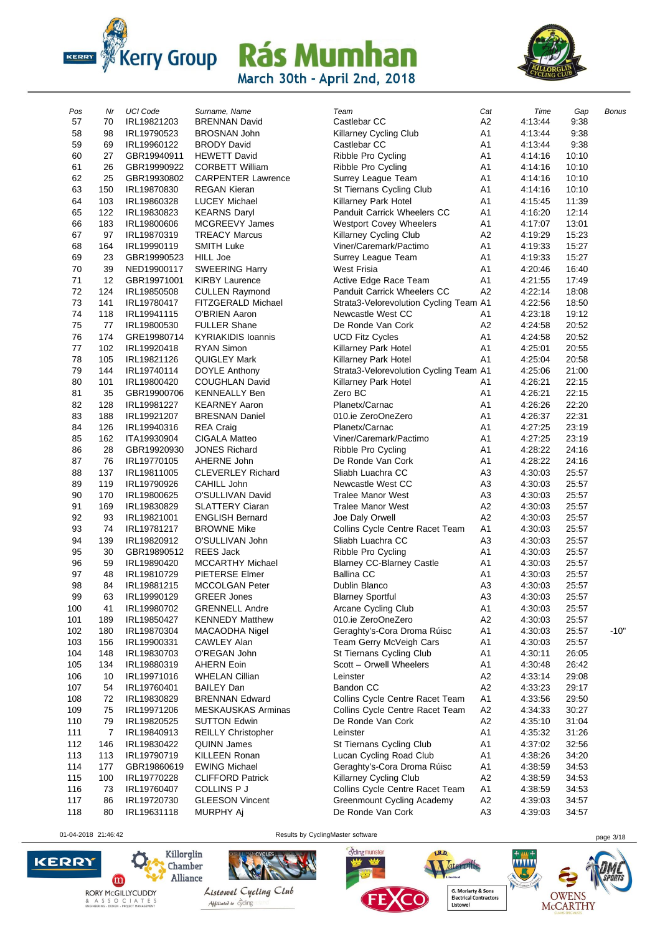



| Pos        | Nr       | <b>UCI Code</b>            | Surname, Name                         | Team                                                          | Cat                  | Time               | Gap            | Bonus  |
|------------|----------|----------------------------|---------------------------------------|---------------------------------------------------------------|----------------------|--------------------|----------------|--------|
| 57         | 70       | IRL19821203                | <b>BRENNAN David</b>                  | Castlebar CC                                                  | A2                   | 4:13:44            | 9:38           |        |
| 58         | 98       | IRL19790523                | <b>BROSNAN John</b>                   | Killarney Cycling Club                                        | A <sub>1</sub>       | 4:13:44            | 9:38           |        |
| 59         | 69       | IRL19960122                | <b>BRODY David</b>                    | Castlebar CC                                                  | A <sub>1</sub>       | 4:13:44            | 9:38           |        |
| 60         | 27       | GBR19940911                | <b>HEWETT David</b>                   | Ribble Pro Cycling                                            | A <sub>1</sub>       | 4:14:16            | 10:10          |        |
| 61         | 26       | GBR19990922                | <b>CORBETT William</b>                | Ribble Pro Cycling                                            | A <sub>1</sub>       | 4:14:16            | 10:10          |        |
| 62         | 25       | GBR19930802                | <b>CARPENTER Lawrence</b>             | Surrey League Team                                            | A <sub>1</sub>       | 4:14:16            | 10:10          |        |
| 63         | 150      | IRL19870830                | <b>REGAN Kieran</b>                   | St Tiernans Cycling Club                                      | A <sub>1</sub>       | 4:14:16            | 10:10          |        |
| 64         | 103      | IRL19860328                | <b>LUCEY Michael</b>                  | Killarney Park Hotel                                          | A <sub>1</sub>       | 4:15:45            | 11:39          |        |
| 65         | 122      | IRL19830823                | <b>KEARNS Daryl</b>                   | Panduit Carrick Wheelers CC                                   | A <sub>1</sub>       | 4:16:20            | 12:14          |        |
| 66         | 183      | IRL19800606                | MCGREEVY James                        | <b>Westport Covey Wheelers</b>                                | A <sub>1</sub>       | 4:17:07            | 13:01          |        |
| 67         | 97       | IRL19870319                | <b>TREACY Marcus</b>                  | Killarney Cycling Club                                        | A <sub>2</sub>       | 4:19:29            | 15:23          |        |
| 68         | 164      | IRL19990119                | <b>SMITH Luke</b>                     | Viner/Caremark/Pactimo                                        | A <sub>1</sub>       | 4:19:33            | 15:27          |        |
| 69         | 23       | GBR19990523                | HILL Joe                              | Surrey League Team                                            | A <sub>1</sub>       | 4:19:33            | 15:27          |        |
| 70         | 39       | NED19900117                | <b>SWEERING Harry</b>                 | West Frisia                                                   | A <sub>1</sub>       | 4:20:46            | 16:40          |        |
| 71         | 12       | GBR19971001                | <b>KIRBY Laurence</b>                 | Active Edge Race Team                                         | A <sub>1</sub>       | 4:21:55            | 17:49          |        |
| 72         | 124      | IRL19850508                | <b>CULLEN Raymond</b>                 | <b>Panduit Carrick Wheelers CC</b>                            | A2                   | 4:22:14            | 18:08          |        |
| 73         | 141      | IRL19780417                | FITZGERALD Michael                    | Strata3-Velorevolution Cycling Team A1                        |                      | 4:22:56            | 18:50          |        |
| 74         | 118      | IRL19941115                | <b>O'BRIEN Aaron</b>                  | Newcastle West CC                                             | A1                   | 4:23:18            | 19:12          |        |
| 75         | 77       | IRL19800530                | <b>FULLER Shane</b>                   | De Ronde Van Cork                                             | A2                   | 4:24:58            | 20:52          |        |
| 76         | 174      | GRE19980714                | <b>KYRIAKIDIS Ioannis</b>             | <b>UCD Fitz Cycles</b>                                        | A <sub>1</sub>       | 4:24:58            | 20:52          |        |
| 77         | 102      | IRL19920418                | <b>RYAN Simon</b>                     | Killarney Park Hotel                                          | A <sub>1</sub>       | 4:25:01            | 20:55          |        |
| 78         | 105      | IRL19821126                | QUIGLEY Mark                          | Killarney Park Hotel                                          | A1                   | 4:25:04            | 20:58          |        |
| 79         | 144      | IRL19740114                | DOYLE Anthony                         | Strata3-Velorevolution Cycling Team A1                        |                      | 4:25:06            | 21:00          |        |
| 80         | 101      | IRL19800420                | COUGHLAN David                        | Killarney Park Hotel                                          | A <sub>1</sub>       | 4:26:21            | 22:15          |        |
| 81         | 35       | GBR19900706                | <b>KENNEALLY Ben</b>                  | Zero BC                                                       | A1                   | 4:26:21            | 22:15          |        |
| 82         | 128      | IRL19981227                | <b>KEARNEY Aaron</b>                  | Planetx/Carnac                                                | A <sub>1</sub>       | 4:26:26            | 22:20          |        |
| 83         | 188      | IRL19921207                | <b>BRESNAN Daniel</b>                 | 010.ie ZeroOneZero                                            | A <sub>1</sub>       | 4:26:37            | 22:31          |        |
| 84         | 126      | IRL19940316                | <b>REA Craig</b>                      | Planetx/Carnac                                                | A <sub>1</sub>       | 4:27:25            | 23:19          |        |
| 85         | 162      | ITA19930904                | CIGALA Matteo                         | Viner/Caremark/Pactimo                                        | A <sub>1</sub>       | 4:27:25            | 23:19          |        |
| 86         | 28       | GBR19920930                | <b>JONES Richard</b>                  | Ribble Pro Cycling                                            | A <sub>1</sub>       | 4:28:22            | 24:16          |        |
| 87         | 76       | IRL19770105                | AHERNE John                           | De Ronde Van Cork                                             | A <sub>1</sub>       | 4:28:22            | 24:16          |        |
| 88         | 137      | IRL19811005                | <b>CLEVERLEY Richard</b>              | Sliabh Luachra CC                                             | A <sub>3</sub>       | 4:30:03            | 25:57          |        |
| 89         | 119      | IRL19790926                | CAHILL John                           | Newcastle West CC                                             | A <sub>3</sub>       | 4:30:03            | 25:57          |        |
| 90         | 170      | IRL19800625                | O'SULLIVAN David                      | <b>Tralee Manor West</b>                                      | A <sub>3</sub>       | 4:30:03            | 25:57          |        |
| 91         | 169      | IRL19830829                | <b>SLATTERY Ciaran</b>                | <b>Tralee Manor West</b>                                      | A <sub>2</sub>       | 4:30:03            | 25:57          |        |
| 92         | 93       | IRL19821001                | <b>ENGLISH Bernard</b>                | Joe Daly Orwell                                               | A <sub>2</sub>       | 4:30:03            | 25:57          |        |
| 93         | 74       | IRL19781217                | <b>BROWNE Mike</b>                    | Collins Cycle Centre Racet Team                               | A <sub>1</sub>       | 4:30:03            | 25:57          |        |
| 94         | 139      | IRL19820912                | O'SULLIVAN John                       | Sliabh Luachra CC                                             | A <sub>3</sub>       | 4:30:03            | 25:57          |        |
| 95         | 30       | GBR19890512                | <b>REES Jack</b>                      | Ribble Pro Cycling                                            | A <sub>1</sub>       | 4:30:03            | 25:57          |        |
| 96         | 59       | IRL19890420                | <b>MCCARTHY Michael</b>               | <b>Blarney CC-Blarney Castle</b>                              | A <sub>1</sub>       | 4:30:03            | 25:57          |        |
| 97         | 48       | IRL19810729                | <b>PIETERSE Elmer</b>                 | <b>Ballina CC</b>                                             | A <sub>1</sub>       | 4:30:03            | 25:57          |        |
| 98         | 84       | IRL19881215                | MCCOLGAN Peter                        | Dublin Blanco                                                 | A3                   | 4:30:03            | 25:57          |        |
| 99         | 63       | IRL19990129                | <b>GREER Jones</b>                    | <b>Blarney Sportful</b>                                       | A3                   | 4:30:03            | 25:57          |        |
| 100        | 41       | IRL19980702                | <b>GRENNELL Andre</b>                 | Arcane Cycling Club                                           | A1                   | 4:30:03            | 25:57          |        |
| 101        | 189      | IRL19850427                | <b>KENNEDY Matthew</b>                | 010.ie ZeroOneZero                                            | A <sub>2</sub>       | 4:30:03            | 25:57          |        |
| 102        | 180      | IRL19870304                | MACAODHA Nigel                        | Geraghty's-Cora Droma Rúisc                                   | A1                   | 4:30:03            | 25:57          | $-10"$ |
| 103        | 156      | IRL19900331                | <b>CAWLEY Alan</b>                    | Team Gerry McVeigh Cars                                       | A1                   | 4:30:03            | 25:57          |        |
| 104        | 148      | IRL19830703                | O'REGAN John                          | St Tiernans Cycling Club                                      | A1                   | 4:30:11            | 26:05          |        |
| 105        | 134      | IRL19880319                | <b>AHERN Eoin</b>                     | Scott - Orwell Wheelers                                       | A1                   | 4:30:48            | 26:42          |        |
| 106        | 10       | IRL19971016                | <b>WHELAN Cillian</b>                 | Leinster                                                      | A <sub>2</sub>       | 4:33:14            | 29:08          |        |
| 107        | 54       | IRL19760401                | <b>BAILEY Dan</b>                     | Bandon CC                                                     | A <sub>2</sub>       | 4:33:23            | 29:17          |        |
| 108        | 72       | IRL19830829                | <b>BRENNAN Edward</b>                 | Collins Cycle Centre Racet Team                               | A1                   | 4:33:56            | 29:50          |        |
| 109        | 75       | IRL19971206                | MESKAUSKAS Arminas                    | Collins Cycle Centre Racet Team<br>De Ronde Van Cork          | A <sub>2</sub>       | 4:34:33            | 30:27          |        |
| 110        | 79       | IRL19820525                | <b>SUTTON Edwin</b>                   |                                                               | A <sub>2</sub>       | 4:35:10            | 31:04          |        |
| 111        | 7        | IRL19840913                | <b>REILLY Christopher</b>             | Leinster                                                      | A1                   | 4:35:32<br>4:37:02 | 31:26          |        |
| 112        | 146      | IRL19830422                | QUINN James                           | St Tiernans Cycling Club                                      | A1                   |                    | 32:56          |        |
| 113        | 113      | IRL19790719                | KILLEEN Ronan                         | Lucan Cycling Road Club                                       | A <sub>1</sub>       | 4:38:26            | 34:20          |        |
| 114        | 177      | GBR19860619                | <b>EWING Michael</b>                  | Geraghty's-Cora Droma Rúisc                                   | A1                   | 4:38:59            | 34:53          |        |
| 115        | 100      | IRL19770228                | <b>CLIFFORD Patrick</b>               | Killarney Cycling Club                                        | A <sub>2</sub>       | 4:38:59            | 34:53          |        |
| 116<br>117 | 73<br>86 | IRL19760407<br>IRL19720730 | COLLINS P J<br><b>GLEESON Vincent</b> | Collins Cycle Centre Racet Team<br>Greenmount Cycling Academy | A1<br>A <sub>2</sub> | 4:38:59<br>4:39:03 | 34:53<br>34:57 |        |
| 118        | 80       | IRL19631118                | MURPHY Aj                             | De Ronde Van Cork                                             | A <sub>3</sub>       | 4:39:03            | 34:57          |        |
|            |          |                            |                                       |                                                               |                      |                    |                |        |

01-04-2018 21:46:42 Results by CyclingMaster software page 3/18





Materville

cyclingmunster

G. Moriarty & Sons<br>Electrical Contractors<br>Listowel

**WWW** 

LR.D.

**Linked** 

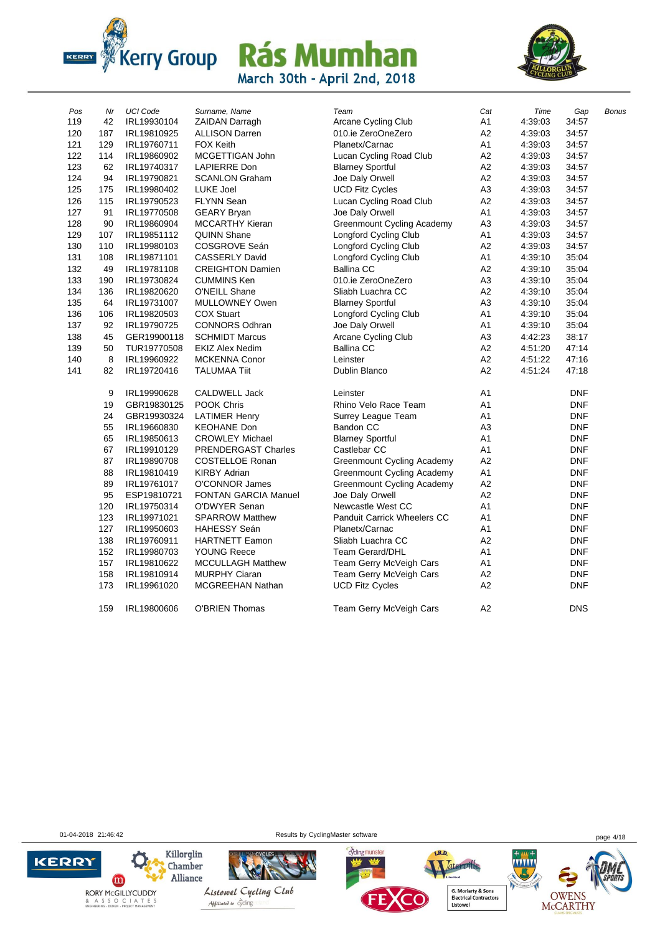



| Pos | Nr  | <b>UCI Code</b> | Surname, Name               | Team                               | Cat            | Time    | Gap        |              |
|-----|-----|-----------------|-----------------------------|------------------------------------|----------------|---------|------------|--------------|
| 119 | 42  | IRL19930104     | <b>ZAIDAN Darragh</b>       | Arcane Cycling Club                | A1             | 4:39:03 | 34:57      | <b>Bonus</b> |
| 120 | 187 | IRL19810925     | <b>ALLISON Darren</b>       | 010.ie ZeroOneZero                 | A <sub>2</sub> | 4:39:03 | 34:57      |              |
| 121 | 129 | IRL19760711     | <b>FOX Keith</b>            | Planetx/Carnac                     | A <sub>1</sub> | 4:39:03 | 34:57      |              |
| 122 | 114 | IRL19860902     | MCGETTIGAN John             | Lucan Cycling Road Club            | A <sub>2</sub> | 4:39:03 | 34:57      |              |
| 123 | 62  | IRL19740317     | <b>LAPIERRE Don</b>         | <b>Blarney Sportful</b>            | A2             | 4:39:03 | 34:57      |              |
| 124 | 94  | IRL19790821     | <b>SCANLON Graham</b>       | Joe Daly Orwell                    | A2             | 4:39:03 | 34:57      |              |
| 125 | 175 | IRL19980402     | <b>LUKE Joel</b>            | <b>UCD Fitz Cycles</b>             | A <sub>3</sub> | 4:39:03 | 34:57      |              |
| 126 | 115 | IRL19790523     | <b>FLYNN Sean</b>           | Lucan Cycling Road Club            | A2             | 4:39:03 | 34:57      |              |
| 127 | 91  | IRL19770508     | <b>GEARY Bryan</b>          | Joe Daly Orwell                    | A1             | 4:39:03 | 34:57      |              |
| 128 | 90  | IRL19860904     | <b>MCCARTHY Kieran</b>      | <b>Greenmount Cycling Academy</b>  | A3             | 4:39:03 | 34:57      |              |
| 129 | 107 | IRL19851112     | <b>QUINN Shane</b>          | Longford Cycling Club              | A1             | 4:39:03 | 34:57      |              |
| 130 | 110 | IRL19980103     | COSGROVE Seán               | Longford Cycling Club              | A2             | 4:39:03 | 34:57      |              |
| 131 | 108 | IRL19871101     | <b>CASSERLY David</b>       | Longford Cycling Club              | A1             | 4:39:10 | 35:04      |              |
| 132 | 49  | IRL19781108     | <b>CREIGHTON Damien</b>     | <b>Ballina CC</b>                  | A2             | 4:39:10 | 35:04      |              |
| 133 | 190 | IRL19730824     | <b>CUMMINS Ken</b>          | 010.ie ZeroOneZero                 | A <sub>3</sub> | 4:39:10 | 35:04      |              |
| 134 | 136 | IRL19820620     | O'NEILL Shane               | Sliabh Luachra CC                  | A <sub>2</sub> | 4:39:10 | 35:04      |              |
| 135 | 64  | IRL19731007     | MULLOWNEY Owen              | <b>Blarney Sportful</b>            | A <sub>3</sub> | 4:39:10 | 35:04      |              |
| 136 | 106 | IRL19820503     | <b>COX Stuart</b>           | Longford Cycling Club              | A <sub>1</sub> | 4:39:10 | 35:04      |              |
| 137 | 92  | IRL19790725     | <b>CONNORS Odhran</b>       | Joe Daly Orwell                    | A1             | 4:39:10 | 35:04      |              |
| 138 | 45  | GER19900118     | <b>SCHMIDT Marcus</b>       | Arcane Cycling Club                | A <sub>3</sub> | 4:42:23 | 38:17      |              |
| 139 | 50  | TUR19770508     | <b>EKIZ Alex Nedim</b>      | <b>Ballina CC</b>                  | A <sub>2</sub> | 4:51:20 | 47:14      |              |
| 140 | 8   | IRL19960922     | <b>MCKENNA Conor</b>        | Leinster                           | A <sub>2</sub> | 4:51:22 | 47:16      |              |
| 141 | 82  | IRL19720416     | <b>TALUMAA Tiit</b>         | Dublin Blanco                      | A2             | 4:51:24 | 47:18      |              |
|     | 9   | IRL19990628     | CALDWELL Jack               | Leinster                           | A1             |         | <b>DNF</b> |              |
|     | 19  | GBR19830125     | POOK Chris                  | Rhino Velo Race Team               | A <sub>1</sub> |         | <b>DNF</b> |              |
|     | 24  | GBR19930324     | <b>LATIMER Henry</b>        | Surrey League Team                 | A1             |         | <b>DNF</b> |              |
|     | 55  | IRL19660830     | <b>KEOHANE Don</b>          | Bandon CC                          | A <sub>3</sub> |         | <b>DNF</b> |              |
|     | 65  | IRL19850613     | <b>CROWLEY Michael</b>      | <b>Blarney Sportful</b>            | A1             |         | <b>DNF</b> |              |
|     | 67  | IRL19910129     | <b>PRENDERGAST Charles</b>  | Castlebar CC                       | A1             |         | <b>DNF</b> |              |
|     | 87  | IRL19890708     | <b>COSTELLOE Ronan</b>      | Greenmount Cycling Academy         | A2             |         | DNF        |              |
|     | 88  | IRL19810419     | <b>KIRBY Adrian</b>         | <b>Greenmount Cycling Academy</b>  | A <sub>1</sub> |         | <b>DNF</b> |              |
|     | 89  | IRL19761017     | O'CONNOR James              | <b>Greenmount Cycling Academy</b>  | A2             |         | DNF        |              |
|     | 95  | ESP19810721     | <b>FONTAN GARCIA Manuel</b> | Joe Daly Orwell                    | A2             |         | DNF        |              |
|     | 120 | IRL19750314     | O'DWYER Senan               | Newcastle West CC                  | A <sub>1</sub> |         | <b>DNF</b> |              |
|     | 123 | IRL19971021     | <b>SPARROW Matthew</b>      | <b>Panduit Carrick Wheelers CC</b> | A1             |         | DNF        |              |
|     | 127 | IRL19950603     | <b>HAHESSY Seán</b>         | Planetx/Carnac                     | A1             |         | DNF        |              |
|     | 138 | IRL19760911     | <b>HARTNETT Eamon</b>       | Sliabh Luachra CC                  | A <sub>2</sub> |         | DNF        |              |
|     | 152 | IRL19980703     | <b>YOUNG Reece</b>          | <b>Team Gerard/DHL</b>             | A1             |         | DNF        |              |
|     | 157 | IRL19810622     | <b>MCCULLAGH Matthew</b>    | Team Gerry McVeigh Cars            | A1             |         | <b>DNF</b> |              |
|     | 158 | IRL19810914     | <b>MURPHY Ciaran</b>        | Team Gerry McVeigh Cars            | A <sub>2</sub> |         | DNF        |              |
|     | 173 | IRL19961020     | MCGREEHAN Nathan            | <b>UCD Fitz Cycles</b>             | A2             |         | <b>DNF</b> |              |
|     | 159 | IRL19800606     | <b>O'BRIEN Thomas</b>       | Team Gerry McVeigh Cars            | A2             |         | <b>DNS</b> |              |
|     |     |                 |                             |                                    |                |         |            |              |

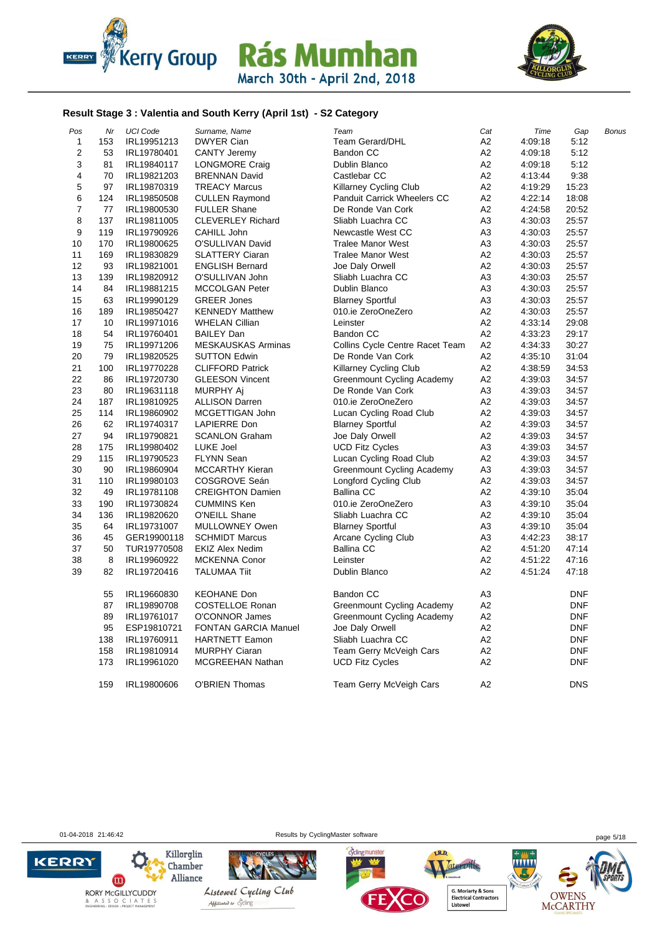



#### **Result Stage 3 : Valentia and South Kerry (April 1st) - S2 Category**

| Nr  | <b>UCI Code</b> | Surname, Name               | Team                              | Cat                                                                                                                                                                      | Time           | Gap        | Bonus |
|-----|-----------------|-----------------------------|-----------------------------------|--------------------------------------------------------------------------------------------------------------------------------------------------------------------------|----------------|------------|-------|
| 153 | IRL19951213     | <b>DWYER Cian</b>           | <b>Team Gerard/DHL</b>            | A2                                                                                                                                                                       | 4:09:18        | 5:12       |       |
| 53  | IRL19780401     | <b>CANTY Jeremy</b>         | Bandon CC                         | A2                                                                                                                                                                       | 4:09:18        | 5:12       |       |
| 81  | IRL19840117     | LONGMORE Craig              | Dublin Blanco                     | A2                                                                                                                                                                       | 4:09:18        | 5:12       |       |
| 70  | IRL19821203     | <b>BRENNAN David</b>        | Castlebar CC                      | A2                                                                                                                                                                       | 4:13:44        | 9:38       |       |
| 97  | IRL19870319     | <b>TREACY Marcus</b>        | Killarney Cycling Club            | A2                                                                                                                                                                       | 4:19:29        | 15:23      |       |
| 124 | IRL19850508     | <b>CULLEN Raymond</b>       | Panduit Carrick Wheelers CC       | А2                                                                                                                                                                       | 4:22:14        | 18:08      |       |
| 77  | IRL19800530     | <b>FULLER Shane</b>         | De Ronde Van Cork                 | A2                                                                                                                                                                       | 4:24:58        | 20:52      |       |
| 137 | IRL19811005     | <b>CLEVERLEY Richard</b>    | Sliabh Luachra CC                 | A3                                                                                                                                                                       | 4:30:03        | 25:57      |       |
| 119 | IRL19790926     | CAHILL John                 | Newcastle West CC                 | A3                                                                                                                                                                       | 4:30:03        | 25:57      |       |
| 170 | IRL19800625     | O'SULLIVAN David            | <b>Tralee Manor West</b>          | A3                                                                                                                                                                       | 4:30:03        | 25:57      |       |
| 169 | IRL19830829     | <b>SLATTERY Ciaran</b>      | <b>Tralee Manor West</b>          | A2                                                                                                                                                                       | 4:30:03        | 25:57      |       |
| 93  | IRL19821001     | <b>ENGLISH Bernard</b>      | Joe Daly Orwell                   | A2                                                                                                                                                                       | 4:30:03        | 25:57      |       |
| 139 | IRL19820912     | O'SULLIVAN John             | Sliabh Luachra CC                 | A3                                                                                                                                                                       | 4:30:03        | 25:57      |       |
| 84  | IRL19881215     | MCCOLGAN Peter              | <b>Dublin Blanco</b>              | A3                                                                                                                                                                       | 4:30:03        | 25:57      |       |
| 63  | IRL19990129     | <b>GREER Jones</b>          | <b>Blarney Sportful</b>           | A3                                                                                                                                                                       | 4:30:03        | 25:57      |       |
| 189 | IRL19850427     | <b>KENNEDY Matthew</b>      | 010.ie ZeroOneZero                | A2                                                                                                                                                                       | 4:30:03        | 25:57      |       |
| 10  | IRL19971016     | <b>WHELAN Cillian</b>       | Leinster                          | A2                                                                                                                                                                       | 4:33:14        | 29:08      |       |
| 54  | IRL19760401     | <b>BAILEY Dan</b>           | Bandon CC                         | A2                                                                                                                                                                       | 4:33:23        | 29:17      |       |
| 75  | IRL19971206     | <b>MESKAUSKAS Arminas</b>   |                                   |                                                                                                                                                                          | 4:34:33        | 30:27      |       |
| 79  | IRL19820525     | <b>SUTTON Edwin</b>         | De Ronde Van Cork                 | A <sub>2</sub>                                                                                                                                                           | 4:35:10        | 31:04      |       |
| 100 | IRL19770228     | <b>CLIFFORD Patrick</b>     | <b>Killarney Cycling Club</b>     | A <sub>2</sub>                                                                                                                                                           | 4:38:59        | 34:53      |       |
| 86  | IRL19720730     | <b>GLEESON Vincent</b>      |                                   | A2                                                                                                                                                                       | 4:39:03        | 34:57      |       |
| 80  | IRL19631118     | MURPHY Aj                   | De Ronde Van Cork                 | A3                                                                                                                                                                       | 4:39:03        | 34:57      |       |
| 187 | IRL19810925     | <b>ALLISON Darren</b>       | 010.ie ZeroOneZero                | A2                                                                                                                                                                       | 4:39:03        | 34:57      |       |
| 114 | IRL19860902     | MCGETTIGAN John             |                                   | A2                                                                                                                                                                       | 4:39:03        | 34:57      |       |
| 62  | IRL19740317     | <b>LAPIERRE Don</b>         | <b>Blarney Sportful</b>           | A2                                                                                                                                                                       | 4:39:03        | 34:57      |       |
| 94  | IRL19790821     | <b>SCANLON Graham</b>       | Joe Daly Orwell                   | A2                                                                                                                                                                       | 4:39:03        | 34:57      |       |
| 175 | IRL19980402     | LUKE Joel                   | <b>UCD Fitz Cycles</b>            | A3                                                                                                                                                                       | 4:39:03        | 34:57      |       |
| 115 | IRL19790523     | <b>FLYNN Sean</b>           | Lucan Cycling Road Club           | A2                                                                                                                                                                       | 4:39:03        | 34:57      |       |
| 90  | IRL19860904     | <b>MCCARTHY Kieran</b>      | <b>Greenmount Cycling Academy</b> | A3                                                                                                                                                                       | 4:39:03        | 34:57      |       |
| 110 | IRL19980103     | COSGROVE Seán               | Longford Cycling Club             | A <sub>2</sub>                                                                                                                                                           | 4:39:03        | 34:57      |       |
| 49  | IRL19781108     | <b>CREIGHTON Damien</b>     | <b>Ballina CC</b>                 | A2                                                                                                                                                                       | 4:39:10        | 35:04      |       |
| 190 | IRL19730824     | <b>CUMMINS Ken</b>          | 010.ie ZeroOneZero                | A3                                                                                                                                                                       | 4:39:10        | 35:04      |       |
| 136 | IRL19820620     | O'NEILL Shane               | Sliabh Luachra CC                 |                                                                                                                                                                          | 4:39:10        | 35:04      |       |
| 64  | IRL19731007     | MULLOWNEY Owen              | <b>Blarney Sportful</b>           | A3                                                                                                                                                                       | 4:39:10        | 35:04      |       |
|     |                 | <b>SCHMIDT Marcus</b>       |                                   |                                                                                                                                                                          |                |            |       |
| 50  | TUR19770508     | <b>EKIZ Alex Nedim</b>      | <b>Ballina CC</b>                 | A2                                                                                                                                                                       | 4:51:20        | 47:14      |       |
| 8   | IRL19960922     | <b>MCKENNA Conor</b>        | Leinster                          | A <sub>2</sub>                                                                                                                                                           | 4:51:22        | 47:16      |       |
| 82  | IRL19720416     | <b>TALUMAA Tiit</b>         | Dublin Blanco                     | A2                                                                                                                                                                       | 4.51.24        | 47:18      |       |
| 55  | IRL19660830     | <b>KEOHANE Don</b>          | Bandon CC                         | A3                                                                                                                                                                       |                | <b>DNF</b> |       |
| 87  | IRL19890708     | <b>COSTELLOE Ronan</b>      |                                   | A2                                                                                                                                                                       |                | <b>DNF</b> |       |
| 89  | IRL19761017     | O'CONNOR James              | Greenmount Cycling Academy        | A2                                                                                                                                                                       |                | <b>DNF</b> |       |
| 95  | ESP19810721     | <b>FONTAN GARCIA Manuel</b> | Joe Daly Orwell                   | A2                                                                                                                                                                       |                | <b>DNF</b> |       |
| 138 | IRL19760911     | <b>HARTNETT Eamon</b>       | Sliabh Luachra CC                 | A2                                                                                                                                                                       |                | <b>DNF</b> |       |
| 158 | IRL19810914     | <b>MURPHY Ciaran</b>        |                                   | A2                                                                                                                                                                       |                | <b>DNF</b> |       |
| 173 | IRL19961020     | <b>MCGREEHAN Nathan</b>     | <b>UCD Fitz Cycles</b>            | A2                                                                                                                                                                       |                | <b>DNF</b> |       |
| 159 | IRL19800606     | <b>O'BRIEN Thomas</b>       | Team Gerry McVeigh Cars           | A <sub>2</sub>                                                                                                                                                           |                | <b>DNS</b> |       |
|     | 45              | GER19900118                 |                                   | Collins Cycle Centre Racet Team<br>Greenmount Cycling Academy<br>Lucan Cycling Road Club<br>Arcane Cycling Club<br>Greenmount Cycling Academy<br>Team Gerry McVeigh Cars | Α2<br>A2<br>A3 | 4:42:23    | 38:17 |

**KERRY** 

01-04-2018 21:46:42 Results by CyclingMaster software page 5/18







Taterville, .... **G. Moriarty & Sons<br>Electrical Contractors<br>Listowel** 

LR.D.

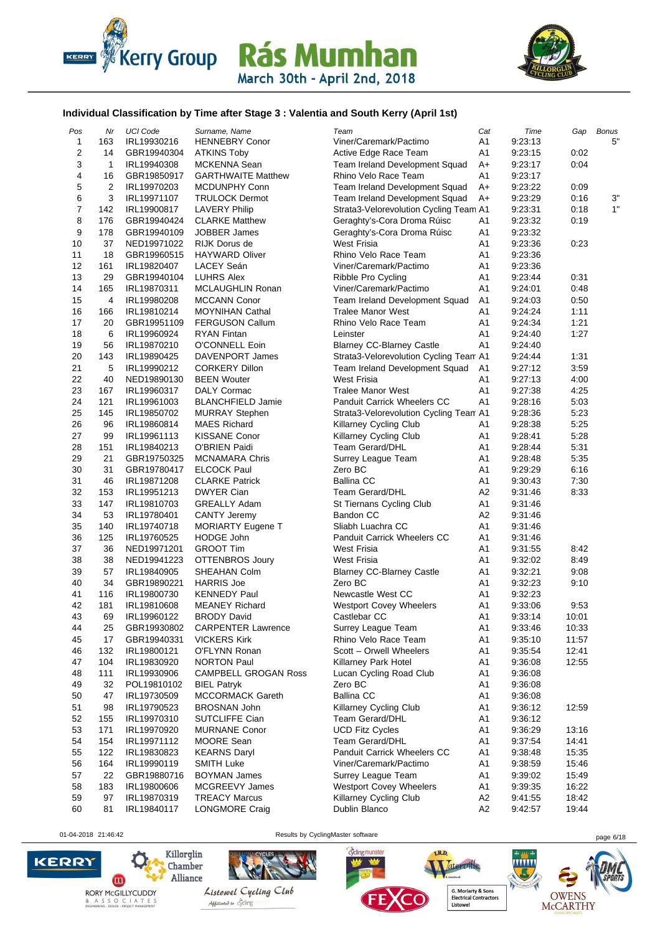



#### **Individual Classification by Time after Stage 3 : Valentia and South Kerry (April 1st)**

| Pos                     | Nr             | <b>UCI Code</b>            | Surname, Name               | Team                                         | Cat            | Time    | Gap   | <b>Bonus</b> |
|-------------------------|----------------|----------------------------|-----------------------------|----------------------------------------------|----------------|---------|-------|--------------|
| 1                       | 163            | IRL19930216                | <b>HENNEBRY Conor</b>       | Viner/Caremark/Pactimo                       | A1             | 9:23:13 |       | 5"           |
| $\overline{\mathbf{c}}$ | 14             | GBR19940304                | <b>ATKINS Toby</b>          | Active Edge Race Team                        | A1             | 9:23:15 | 0:02  |              |
| 3                       | $\mathbf{1}$   | IRL19940308                | MCKENNA Sean                | Team Ireland Development Squad               | A+             | 9:23:17 | 0:04  |              |
| 4                       | 16             | GBR19850917                | <b>GARTHWAITE Matthew</b>   | Rhino Velo Race Team                         | A1             | 9:23:17 |       |              |
| 5                       | $\overline{2}$ | IRL19970203                | <b>MCDUNPHY Conn</b>        | Team Ireland Development Squad               | A+             | 9:23:22 | 0:09  |              |
| 6                       | 3              | IRL19971107                | <b>TRULOCK Dermot</b>       | Team Ireland Development Squad               | $A+$           | 9:23:29 | 0:16  | 3"           |
| $\overline{7}$          | 142            | IRL19900817                | <b>LAVERY Philip</b>        | Strata3-Velorevolution Cycling Team A1       |                | 9:23:31 | 0:18  | 1"           |
| 8                       | 176            | GBR19940424                | <b>CLARKE Matthew</b>       | Geraghty's-Cora Droma Rúisc                  | A <sub>1</sub> | 9:23:32 | 0:19  |              |
| 9                       | 178            | GBR19940109                | <b>JOBBER James</b>         | Geraghty's-Cora Droma Rúisc                  | A <sub>1</sub> | 9:23:32 |       |              |
| 10                      | 37             | NED19971022                | RIJK Dorus de               | <b>West Frisia</b>                           | A1             | 9:23:36 | 0:23  |              |
| 11                      | 18             | GBR19960515                | <b>HAYWARD Oliver</b>       | Rhino Velo Race Team                         | A1             | 9:23:36 |       |              |
| 12                      | 161            | IRL19820407                | LACEY Seán                  | Viner/Caremark/Pactimo                       | A <sub>1</sub> | 9:23:36 |       |              |
| 13                      | 29             | GBR19940104                | <b>LUHRS Alex</b>           | Ribble Pro Cycling                           | A <sub>1</sub> | 9:23:44 | 0:31  |              |
| 14                      | 165            | IRL19870311                | <b>MCLAUGHLIN Ronan</b>     | Viner/Caremark/Pactimo                       | A1             | 9:24:01 | 0:48  |              |
| 15                      | 4              | IRL19980208                | <b>MCCANN Conor</b>         | Team Ireland Development Squad               | A <sub>1</sub> | 9:24:03 | 0:50  |              |
| 16                      | 166            | IRL19810214                | <b>MOYNIHAN Cathal</b>      | <b>Tralee Manor West</b>                     | A1             | 9:24:24 | 1:11  |              |
| 17                      | 20             | GBR19951109                | <b>FERGUSON Callum</b>      | Rhino Velo Race Team                         | A1             | 9:24:34 | 1:21  |              |
| 18                      | 6              | IRL19960924                | <b>RYAN Fintan</b>          | Leinster                                     | A1             | 9:24:40 | 1:27  |              |
| 19                      | 56             | IRL19870210                | O'CONNELL Eoin              | <b>Blarney CC-Blarney Castle</b>             | A1             | 9:24:40 |       |              |
| 20                      | 143            | IRL19890425                | DAVENPORT James             | Strata3-Velorevolution Cycling Team A1       |                | 9:24:44 | 1:31  |              |
| 21                      | 5              | IRL19990212                | <b>CORKERY Dillon</b>       | Team Ireland Development Squad               | A1             | 9:27:12 | 3:59  |              |
| 22                      | 40             | NED19890130                | <b>BEEN Wouter</b>          | <b>West Frisia</b>                           | A1             | 9:27:13 | 4:00  |              |
| 23                      | 167            | IRL19960317                | <b>DALY Cormac</b>          | <b>Tralee Manor West</b>                     | A1             | 9:27:38 | 4:25  |              |
| 24                      | 121            | IRL19961003                | <b>BLANCHFIELD Jamie</b>    | <b>Panduit Carrick Wheelers CC</b>           | A1             | 9:28:16 | 5:03  |              |
| 25                      | 145            | IRL19850702                | <b>MURRAY Stephen</b>       | Strata3-Velorevolution Cycling Team A1       |                | 9:28:36 | 5:23  |              |
| 26                      | 96             | IRL19860814                | <b>MAES Richard</b>         | Killarney Cycling Club                       | A1             | 9:28:38 | 5:25  |              |
| 27                      | 99             | IRL19961113                | <b>KISSANE Conor</b>        | <b>Killarney Cycling Club</b>                | A1             | 9:28:41 | 5:28  |              |
| 28                      | 151            | IRL19840213                | <b>O'BRIEN Paidi</b>        | <b>Team Gerard/DHL</b>                       | A <sub>1</sub> | 9:28:44 | 5:31  |              |
| 29                      | 21             | GBR19750325                | MCNAMARA Chris              | Surrey League Team                           | A <sub>1</sub> | 9:28:48 | 5:35  |              |
| 30                      | 31             | GBR19780417                | <b>ELCOCK Paul</b>          | Zero BC                                      | A1             | 9:29:29 | 6:16  |              |
| 31                      | 46             | IRL19871208                | <b>CLARKE Patrick</b>       | <b>Ballina CC</b>                            | A1             | 9:30:43 | 7:30  |              |
| 32                      | 153            |                            | <b>DWYER Cian</b>           | <b>Team Gerard/DHL</b>                       | A <sub>2</sub> | 9:31:46 | 8:33  |              |
| 33                      | 147            | IRL19951213<br>IRL19810703 | <b>GREALLY Adam</b>         |                                              | A <sub>1</sub> | 9:31:46 |       |              |
| 34                      | 53             |                            | <b>CANTY Jeremy</b>         | St Tiernans Cycling Club<br><b>Bandon CC</b> | A2             | 9:31:46 |       |              |
| 35                      | 140            | IRL19780401<br>IRL19740718 |                             | Sliabh Luachra CC                            | A1             | 9:31:46 |       |              |
| 36                      | 125            |                            | MORIARTY Eugene T           |                                              |                |         |       |              |
| 37                      |                | IRL19760525                | <b>HODGE John</b>           | Panduit Carrick Wheelers CC                  | A1             | 9:31:46 |       |              |
|                         | 36             | NED19971201                | <b>GROOT Tim</b>            | West Frisia<br><b>West Frisia</b>            | A1             | 9:31:55 | 8:42  |              |
| 38                      | 38             | NED19941223                | OTTENBROS Joury             |                                              | A1             | 9:32:02 | 8:49  |              |
| 39                      | 57<br>34       | IRL19840905                | SHEAHAN Colm                | <b>Blarney CC-Blarney Castle</b>             | A <sub>1</sub> | 9:32:21 | 9:08  |              |
| 40                      |                | GBR19890221                | <b>HARRIS Joe</b>           | Zero BC                                      | A1             | 9:32:23 | 9:10  |              |
| 41                      | 116            | IRL19800730                | <b>KENNEDY Paul</b>         | Newcastle West CC                            | A1             | 9:32:23 |       |              |
| 42                      | 181            | IRL19810608                | <b>MEANEY Richard</b>       | <b>Westport Covey Wheelers</b>               | A1             | 9:33:06 | 9:53  |              |
| 43                      | 69             | IRL19960122                | <b>BRODY David</b>          | Castlebar CC                                 | A1             | 9:33:14 | 10:01 |              |
| 44                      | 25             | GBR19930802                | <b>CARPENTER Lawrence</b>   | Surrey League Team                           | A1             | 9:33:46 | 10:33 |              |
| 45                      | 17             | GBR19940331                | <b>VICKERS Kirk</b>         | Rhino Velo Race Team                         | Α1             | 9:35:10 | 11:57 |              |
| 46                      | 132            | IRL19800121                | O'FLYNN Ronan               | Scott - Orwell Wheelers                      | A <sub>1</sub> | 9:35:54 | 12:41 |              |
| 47                      | 104            | IRL19830920                | <b>NORTON Paul</b>          | Killarney Park Hotel                         | A1             | 9:36:08 | 12:55 |              |
| 48                      | 111            | IRL19930906                | <b>CAMPBELL GROGAN Ross</b> | Lucan Cycling Road Club                      | A1             | 9:36:08 |       |              |
| 49                      | 32             | POL19810102                | <b>BIEL Patryk</b>          | Zero BC                                      | A <sub>1</sub> | 9:36:08 |       |              |
| 50                      | 47             | IRL19730509                | <b>MCCORMACK Gareth</b>     | <b>Ballina CC</b>                            | A <sub>1</sub> | 9:36:08 |       |              |
| 51                      | 98             | IRL19790523                | <b>BROSNAN John</b>         | Killarney Cycling Club                       | A <sub>1</sub> | 9:36:12 | 12:59 |              |
| 52                      | 155            | IRL19970310                | SUTCLIFFE Cian              | Team Gerard/DHL                              | Α1             | 9:36:12 |       |              |
| 53                      | 171            | IRL19970920                | <b>MURNANE Conor</b>        | <b>UCD Fitz Cycles</b>                       | A <sub>1</sub> | 9:36:29 | 13:16 |              |
| 54                      | 154            | IRL19971112                | MOORE Sean                  | Team Gerard/DHL                              | A <sub>1</sub> | 9:37:54 | 14:41 |              |
| 55                      | 122            | IRL19830823                | <b>KEARNS Daryl</b>         | <b>Panduit Carrick Wheelers CC</b>           | A1             | 9:38:48 | 15:35 |              |
| 56                      | 164            | IRL19990119                | <b>SMITH Luke</b>           | Viner/Caremark/Pactimo                       | A <sub>1</sub> | 9:38:59 | 15:46 |              |
| 57                      | 22             | GBR19880716                | <b>BOYMAN James</b>         | Surrey League Team                           | A1             | 9:39:02 | 15:49 |              |
| 58                      | 183            | IRL19800606                | MCGREEVY James              | <b>Westport Covey Wheelers</b>               | A1             | 9:39:35 | 16:22 |              |
| 59                      | 97             | IRL19870319                | <b>TREACY Marcus</b>        | Killarney Cycling Club                       | A <sub>2</sub> | 9:41:55 | 18:42 |              |
| 60                      | 81             | IRL19840117                | <b>LONGMORE Craig</b>       | Dublin Blanco                                | A <sub>2</sub> | 9:42:57 | 19:44 |              |
|                         |                |                            |                             |                                              |                |         |       |              |

**KERRY** 

01-04-2018 21:46:42 Results by CyclingMaster software page 6/18





G. Moriarty & Sons<br>Electrical Contractors<br>Listowel

Tateroille,

....

LR.D.

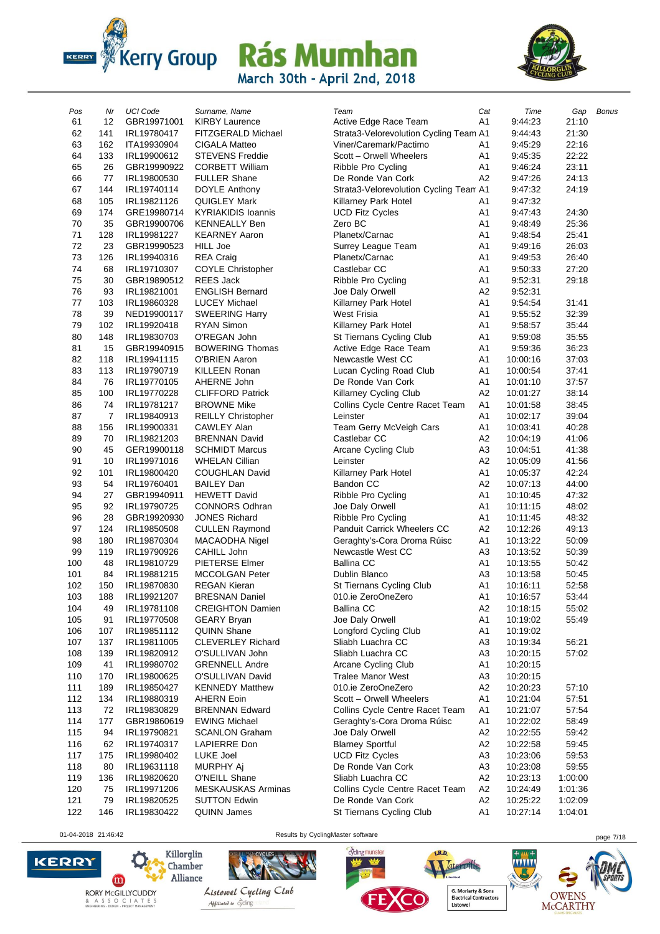



| Pos | Nr  | <b>UCI Code</b> | Surname, Name             | Team                                   | Cat            | Time     | Gap     | <b>Bonus</b> |
|-----|-----|-----------------|---------------------------|----------------------------------------|----------------|----------|---------|--------------|
| 61  | 12  | GBR19971001     | <b>KIRBY Laurence</b>     | Active Edge Race Team                  | A1             | 9:44:23  | 21:10   |              |
| 62  | 141 | IRL19780417     | FITZGERALD Michael        | Strata3-Velorevolution Cycling Team A1 |                | 9:44:43  | 21:30   |              |
| 63  | 162 | ITA19930904     | <b>CIGALA Matteo</b>      | Viner/Caremark/Pactimo                 | A1             | 9:45:29  | 22:16   |              |
| 64  | 133 | IRL19900612     | <b>STEVENS Freddie</b>    | Scott - Orwell Wheelers                | A <sub>1</sub> | 9:45:35  | 22:22   |              |
| 65  | 26  | GBR19990922     | <b>CORBETT William</b>    | Ribble Pro Cycling                     | A <sub>1</sub> | 9:46:24  | 23:11   |              |
| 66  | 77  | IRL19800530     | <b>FULLER Shane</b>       | De Ronde Van Cork                      | A2             | 9:47:26  | 24:13   |              |
| 67  | 144 | IRL19740114     | DOYLE Anthony             | Strata3-Velorevolution Cycling Team A1 |                | 9:47:32  | 24:19   |              |
| 68  | 105 | IRL19821126     | QUIGLEY Mark              | Killarney Park Hotel                   | A1             | 9:47:32  |         |              |
| 69  | 174 | GRE19980714     | <b>KYRIAKIDIS Ioannis</b> | <b>UCD Fitz Cycles</b>                 | A1             | 9:47:43  | 24:30   |              |
| 70  | 35  | GBR19900706     | <b>KENNEALLY Ben</b>      | Zero BC                                | A1             | 9:48:49  | 25:36   |              |
| 71  | 128 | IRL19981227     | <b>KEARNEY Aaron</b>      | Planetx/Carnac                         | A1             | 9:48:54  | 25:41   |              |
| 72  | 23  |                 |                           |                                        |                |          |         |              |
|     |     | GBR19990523     | <b>HILL Joe</b>           | Surrey League Team                     | A <sub>1</sub> | 9:49:16  | 26:03   |              |
| 73  | 126 | IRL19940316     | <b>REA Craig</b>          | Planetx/Carnac                         | A1             | 9:49:53  | 26:40   |              |
| 74  | 68  | IRL19710307     | COYLE Christopher         | Castlebar CC                           | A <sub>1</sub> | 9:50:33  | 27:20   |              |
| 75  | 30  | GBR19890512     | <b>REES Jack</b>          | Ribble Pro Cycling                     | A1             | 9:52:31  | 29:18   |              |
| 76  | 93  | IRL19821001     | <b>ENGLISH Bernard</b>    | Joe Daly Orwell                        | A <sub>2</sub> | 9:52:31  |         |              |
| 77  | 103 | IRL19860328     | <b>LUCEY Michael</b>      | Killarney Park Hotel                   | A <sub>1</sub> | 9:54:54  | 31:41   |              |
| 78  | 39  | NED19900117     | <b>SWEERING Harry</b>     | <b>West Frisia</b>                     | A1             | 9:55:52  | 32:39   |              |
| 79  | 102 | IRL19920418     | <b>RYAN Simon</b>         | Killarney Park Hotel                   | A1             | 9:58:57  | 35:44   |              |
| 80  | 148 | IRL19830703     | O'REGAN John              | St Tiernans Cycling Club               | A <sub>1</sub> | 9:59:08  | 35:55   |              |
| 81  | 15  | GBR19940915     | <b>BOWERING Thomas</b>    | Active Edge Race Team                  | A <sub>1</sub> | 9:59:36  | 36:23   |              |
| 82  | 118 | IRL19941115     | <b>O'BRIEN Aaron</b>      | Newcastle West CC                      | A <sub>1</sub> | 10:00:16 | 37:03   |              |
| 83  | 113 | IRL19790719     | <b>KILLEEN Ronan</b>      | Lucan Cycling Road Club                | A <sub>1</sub> | 10:00:54 | 37:41   |              |
| 84  | 76  | IRL19770105     | AHERNE John               | De Ronde Van Cork                      | A <sub>1</sub> | 10:01:10 | 37:57   |              |
| 85  | 100 | IRL19770228     | <b>CLIFFORD Patrick</b>   | Killarney Cycling Club                 | A2             | 10:01:27 | 38:14   |              |
| 86  | 74  | IRL19781217     | <b>BROWNE Mike</b>        | Collins Cycle Centre Racet Team        | A1             | 10:01:58 | 38:45   |              |
| 87  | 7   | IRL19840913     | <b>REILLY Christopher</b> | Leinster                               | A <sub>1</sub> | 10:02:17 | 39:04   |              |
| 88  | 156 | IRL19900331     | <b>CAWLEY Alan</b>        | Team Gerry McVeigh Cars                | A1             | 10:03:41 | 40:28   |              |
| 89  | 70  | IRL19821203     | <b>BRENNAN David</b>      | Castlebar CC                           | A2             | 10:04:19 | 41:06   |              |
| 90  | 45  | GER19900118     | <b>SCHMIDT Marcus</b>     | Arcane Cycling Club                    | A3             | 10:04:51 | 41:38   |              |
| 91  | 10  | IRL19971016     | <b>WHELAN Cillian</b>     | Leinster                               | А2             | 10:05:09 | 41:56   |              |
| 92  | 101 | IRL19800420     | <b>COUGHLAN David</b>     | Killarney Park Hotel                   | A1             | 10:05:37 | 42:24   |              |
| 93  | 54  | IRL19760401     | <b>BAILEY Dan</b>         | <b>Bandon CC</b>                       | A <sub>2</sub> | 10:07:13 | 44:00   |              |
| 94  | 27  | GBR19940911     | <b>HEWETT David</b>       | Ribble Pro Cycling                     | A1             | 10:10:45 | 47:32   |              |
| 95  | 92  | IRL19790725     | <b>CONNORS Odhran</b>     | Joe Daly Orwell                        | A1             | 10:11:15 | 48:02   |              |
| 96  | 28  | GBR19920930     | <b>JONES Richard</b>      | Ribble Pro Cycling                     | A <sub>1</sub> | 10:11:45 | 48:32   |              |
| 97  | 124 | IRL19850508     | <b>CULLEN Raymond</b>     | Panduit Carrick Wheelers CC            | A <sub>2</sub> | 10:12:26 | 49:13   |              |
| 98  | 180 | IRL19870304     | MACAODHA Nigel            | Geraghty's-Cora Droma Rúisc            | A1             | 10:13:22 | 50:09   |              |
| 99  | 119 | IRL19790926     | CAHILL John               | Newcastle West CC                      | A3             | 10:13:52 | 50:39   |              |
| 100 | 48  | IRL19810729     | PIETERSE Elmer            | <b>Ballina CC</b>                      | Α1             | 10:13:55 | 50:42   |              |
| 101 | 84  | IRL19881215     | <b>MCCOLGAN Peter</b>     | Dublin Blanco                          | A <sub>3</sub> | 10:13:58 | 50:45   |              |
| 102 | 150 | IRL19870830     | <b>REGAN Kieran</b>       | St Tiernans Cycling Club               | A <sub>1</sub> | 10:16:11 | 52:58   |              |
| 103 | 188 | IRL19921207     | <b>BRESNAN Daniel</b>     | 010.ie ZeroOneZero                     | A1             | 10:16:57 | 53:44   |              |
| 104 | 49  | IRL19781108     | <b>CREIGHTON Damien</b>   | <b>Ballina CC</b>                      | A <sub>2</sub> | 10:18:15 | 55:02   |              |
| 105 | 91  | IRL19770508     | <b>GEARY Bryan</b>        | Joe Daly Orwell                        | A1             | 10:19:02 | 55:49   |              |
| 106 | 107 | IRL19851112     | <b>QUINN Shane</b>        | Longford Cycling Club                  | A1             | 10:19:02 |         |              |
| 107 | 137 | IRL19811005     | CLEVERLEY Richard         | Sliabh Luachra CC                      | A <sub>3</sub> | 10:19:34 | 56:21   |              |
| 108 | 139 | IRL19820912     | O'SULLIVAN John           | Sliabh Luachra CC                      | A <sub>3</sub> | 10:20:15 | 57:02   |              |
| 109 | 41  | IRL19980702     | <b>GRENNELL Andre</b>     | Arcane Cycling Club                    | A1             | 10:20:15 |         |              |
| 110 | 170 | IRL19800625     | O'SULLIVAN David          | <b>Tralee Manor West</b>               | ΑЗ             | 10:20:15 |         |              |
| 111 | 189 | IRL19850427     | <b>KENNEDY Matthew</b>    | 010.ie ZeroOneZero                     | A <sub>2</sub> | 10:20:23 | 57:10   |              |
| 112 | 134 | IRL19880319     | <b>AHERN Eoin</b>         | Scott - Orwell Wheelers                | A <sub>1</sub> | 10:21:04 | 57:51   |              |
| 113 | 72  | IRL19830829     | <b>BRENNAN Edward</b>     | Collins Cycle Centre Racet Team        | A1             | 10:21:07 | 57:54   |              |
|     |     |                 |                           | Geraghty's-Cora Droma Rúisc            |                |          |         |              |
| 114 | 177 | GBR19860619     | <b>EWING Michael</b>      |                                        | A1             | 10:22:02 | 58:49   |              |
| 115 | 94  | IRL19790821     | <b>SCANLON Graham</b>     | Joe Daly Orwell                        | A <sub>2</sub> | 10:22:55 | 59:42   |              |
| 116 | 62  | IRL19740317     | LAPIERRE Don              | <b>Blarney Sportful</b>                | A <sub>2</sub> | 10:22:58 | 59:45   |              |
| 117 | 175 | IRL19980402     | LUKE Joel                 | <b>UCD Fitz Cycles</b>                 | A <sub>3</sub> | 10:23:06 | 59:53   |              |
| 118 | 80  | IRL19631118     | MURPHY Aj                 | De Ronde Van Cork                      | A <sub>3</sub> | 10:23:08 | 59:55   |              |
| 119 | 136 | IRL19820620     | O'NEILL Shane             | Sliabh Luachra CC                      | A <sub>2</sub> | 10:23:13 | 1:00:00 |              |
| 120 | 75  | IRL19971206     | MESKAUSKAS Arminas        | Collins Cycle Centre Racet Team        | A2             | 10:24:49 | 1:01:36 |              |
| 121 | 79  | IRL19820525     | <b>SUTTON Edwin</b>       | De Ronde Van Cork                      | A <sub>2</sub> | 10:25:22 | 1:02:09 |              |
| 122 | 146 | IRL19830422     | <b>QUINN James</b>        | St Tiernans Cycling Club               | A1             | 10:27:14 | 1:04:01 |              |

01-04-2018 21:46:42 Results by CyclingMaster software page 7/18

cyclingmunster





Materoille

G. Moriarty & Sons<br>Electrical Contractors<br>Listowel

LR.D.

imited

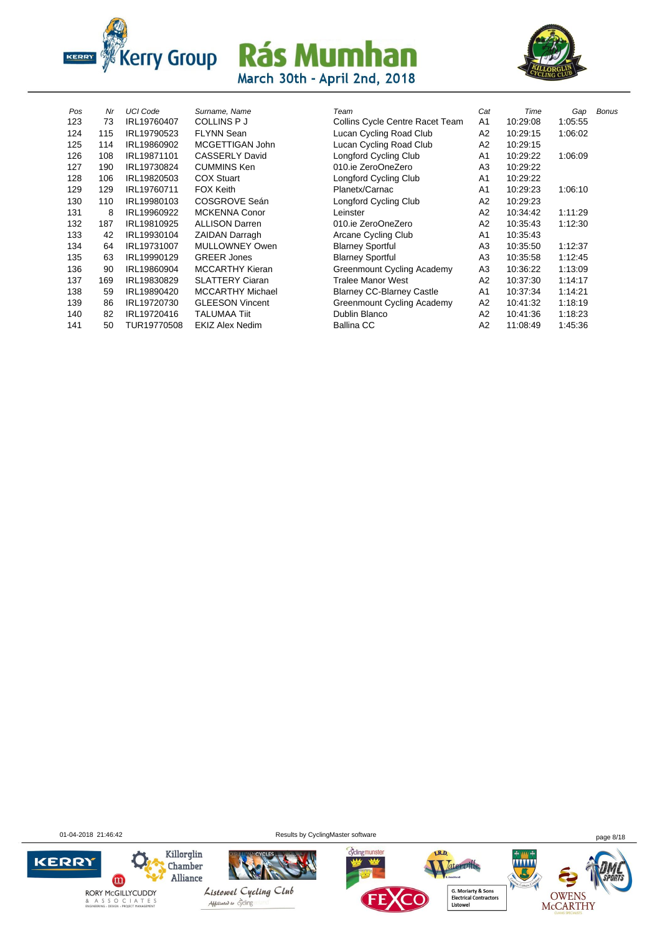



| Pos | Nr  | <b>UCI Code</b> | Surname, Name           | Team                             | Cat            | Time     |
|-----|-----|-----------------|-------------------------|----------------------------------|----------------|----------|
| 123 | 73  | IRL19760407     | <b>COLLINS P J</b>      | Collins Cycle Centre Racet Team  | A1             | 10:29:08 |
| 124 | 115 | IRL19790523     | <b>FLYNN Sean</b>       | Lucan Cycling Road Club          | A <sub>2</sub> | 10:29:15 |
| 125 | 114 | IRL19860902     | MCGETTIGAN John         | Lucan Cycling Road Club          | A <sub>2</sub> | 10:29:15 |
| 126 | 108 | IRL19871101     | <b>CASSERLY David</b>   | Longford Cycling Club            | A1             | 10:29:22 |
| 127 | 190 | IRL19730824     | <b>CUMMINS Ken</b>      | 010.ie ZeroOneZero               | A3             | 10:29:22 |
| 128 | 106 | IRL19820503     | <b>COX Stuart</b>       | Longford Cycling Club            | A <sub>1</sub> | 10:29:22 |
| 129 | 129 | IRL19760711     | <b>FOX Keith</b>        | Planetx/Carnac                   | A1             | 10:29:23 |
| 130 | 110 | IRL19980103     | COSGROVE Seán           | Longford Cycling Club            | A2             | 10:29:23 |
| 131 | 8   | IRL19960922     | <b>MCKENNA Conor</b>    | Leinster                         | A <sub>2</sub> | 10:34:42 |
| 132 | 187 | IRL19810925     | <b>ALLISON Darren</b>   | 010.ie ZeroOneZero               | A <sub>2</sub> | 10:35:43 |
| 133 | 42  | IRL19930104     | <b>ZAIDAN Darragh</b>   | Arcane Cycling Club              | A1             | 10:35:43 |
| 134 | 64  | IRL19731007     | <b>MULLOWNEY Owen</b>   | <b>Blarney Sportful</b>          | A3             | 10:35:50 |
| 135 | 63  | IRL19990129     | <b>GREER Jones</b>      | <b>Blarney Sportful</b>          | A3             | 10:35:58 |
| 136 | 90  | IRL19860904     | <b>MCCARTHY Kieran</b>  | Greenmount Cycling Academy       | A3             | 10:36:22 |
| 137 | 169 | IRL19830829     | <b>SLATTERY Ciaran</b>  | <b>Tralee Manor West</b>         | A2             | 10:37:30 |
| 138 | 59  | IRL19890420     | <b>MCCARTHY Michael</b> | <b>Blarney CC-Blarney Castle</b> | A1             | 10:37:34 |
| 139 | 86  | IRL19720730     | <b>GLEESON Vincent</b>  | Greenmount Cycling Academy       | A2             | 10:41:32 |
| 140 | 82  | IRL19720416     | <b>TALUMAA Tiit</b>     | Dublin Blanco                    | A <sub>2</sub> | 10:41:36 |
| 141 | 50  | TUR19770508     | <b>EKIZ Alex Nedim</b>  | <b>Ballina CC</b>                | A <sub>2</sub> | 11:08:49 |
|     |     |                 |                         |                                  |                |          |

| Pos | Nr  | UCI Code    | Surname, Name           | Team                                   | Cat            | Time     | Gap     | <b>Bonus</b> |
|-----|-----|-------------|-------------------------|----------------------------------------|----------------|----------|---------|--------------|
| 123 | 73  | IRL19760407 | <b>COLLINS PJ</b>       | <b>Collins Cycle Centre Racet Team</b> | A <sub>1</sub> | 10:29:08 | 1:05:55 |              |
| 124 | 115 | IRL19790523 | <b>FLYNN Sean</b>       | Lucan Cycling Road Club                | A2             | 10:29:15 | 1:06:02 |              |
| 125 | 114 | IRL19860902 | MCGETTIGAN John         | Lucan Cycling Road Club                | A2             | 10:29:15 |         |              |
| 126 | 108 | IRL19871101 | <b>CASSERLY David</b>   | Longford Cycling Club                  | A1             | 10:29:22 | 1:06:09 |              |
| 127 | 190 | IRL19730824 | <b>CUMMINS Ken</b>      | 010.ie ZeroOneZero                     | A3             | 10:29:22 |         |              |
| 128 | 106 | IRL19820503 | <b>COX Stuart</b>       | Longford Cycling Club                  | A <sub>1</sub> | 10:29:22 |         |              |
| 129 | 129 | IRL19760711 | <b>FOX Keith</b>        | Planetx/Carnac                         | A <sub>1</sub> | 10:29:23 | 1:06:10 |              |
| 130 | 110 | IRL19980103 | COSGROVE Seán           | Longford Cycling Club                  | A <sub>2</sub> | 10:29:23 |         |              |
| 131 | 8   | IRL19960922 | <b>MCKENNA Conor</b>    | Leinster                               | A <sub>2</sub> | 10:34:42 | 1:11:29 |              |
| 132 | 187 | IRL19810925 | <b>ALLISON Darren</b>   | 010.ie ZeroOneZero                     | A <sub>2</sub> | 10:35:43 | 1:12:30 |              |
| 133 | 42  | IRL19930104 | <b>ZAIDAN Darragh</b>   | Arcane Cycling Club                    | A1             | 10:35:43 |         |              |
| 134 | 64  | IRL19731007 | <b>MULLOWNEY Owen</b>   | <b>Blarney Sportful</b>                | A3             | 10:35:50 | 1:12:37 |              |
| 135 | 63  | IRL19990129 | <b>GREER Jones</b>      | <b>Blarney Sportful</b>                | A3             | 10:35:58 | 1:12:45 |              |
| 136 | 90  | IRL19860904 | <b>MCCARTHY Kieran</b>  | Greenmount Cycling Academy             | A3             | 10:36:22 | 1:13:09 |              |
| 137 | 169 | IRL19830829 | <b>SLATTERY Ciaran</b>  | <b>Tralee Manor West</b>               | A <sub>2</sub> | 10:37:30 | 1:14:17 |              |
| 138 | 59  | IRL19890420 | <b>MCCARTHY Michael</b> | <b>Blarney CC-Blarney Castle</b>       | A1             | 10:37:34 | 1:14:21 |              |
| 139 | 86  | IRL19720730 | <b>GLEESON Vincent</b>  | Greenmount Cycling Academy             | A2             | 10:41:32 | 1:18:19 |              |
| 140 | 82  | IRL19720416 | <b>TALUMAA Tiit</b>     | Dublin Blanco                          | A2             | 10:41:36 | 1:18:23 |              |
| 141 | 50  | TUR19770508 | <b>EKIZ Alex Nedim</b>  | <b>Ballina CC</b>                      | A <sub>2</sub> | 11:08:49 | 1:45:36 |              |

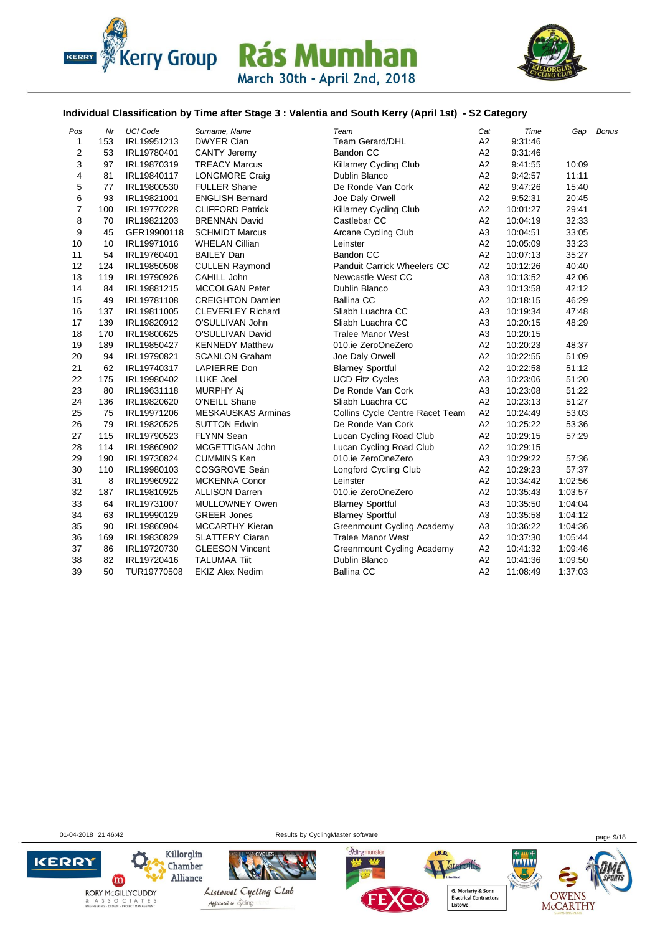



#### **Individual Classification by Time after Stage 3 : Valentia and South Kerry (April 1st) - S2 Category**

| Pos              | Nr  | <b>UCI Code</b> | Surname, Name             | Team                               | Cat            | Time     | Gap     | <b>Bonus</b> |
|------------------|-----|-----------------|---------------------------|------------------------------------|----------------|----------|---------|--------------|
| $\mathbf{1}$     | 153 | IRL19951213     | <b>DWYER Cian</b>         | <b>Team Gerard/DHL</b>             | A <sub>2</sub> | 9:31:46  |         |              |
| $\mathbf 2$      | 53  | IRL19780401     | <b>CANTY Jeremy</b>       | <b>Bandon CC</b>                   | A2             | 9:31:46  |         |              |
| 3                | 97  | IRL19870319     | <b>TREACY Marcus</b>      | Killarney Cycling Club             | A2             | 9:41:55  | 10:09   |              |
| 4                | 81  | IRL19840117     | <b>LONGMORE Craig</b>     | Dublin Blanco                      | A2             | 9:42:57  | 11:11   |              |
| 5                | 77  | IRL19800530     | <b>FULLER Shane</b>       | De Ronde Van Cork                  | A2             | 9:47:26  | 15:40   |              |
| 6                | 93  | IRL19821001     | <b>ENGLISH Bernard</b>    | Joe Daly Orwell                    | A <sub>2</sub> | 9.52.31  | 20:45   |              |
| $\boldsymbol{7}$ | 100 | IRL19770228     | <b>CLIFFORD Patrick</b>   | <b>Killarney Cycling Club</b>      | A2             | 10:01:27 | 29:41   |              |
| 8                | 70  | IRL19821203     | <b>BRENNAN David</b>      | Castlebar CC                       | A2             | 10:04:19 | 32:33   |              |
| 9                | 45  | GER19900118     | <b>SCHMIDT Marcus</b>     | Arcane Cycling Club                | A <sub>3</sub> | 10:04:51 | 33:05   |              |
| 10               | 10  | IRL19971016     | <b>WHELAN Cillian</b>     | Leinster                           | A2             | 10:05:09 | 33:23   |              |
| 11               | 54  | IRL19760401     | <b>BAILEY Dan</b>         | Bandon CC                          | A2             | 10:07:13 | 35:27   |              |
| 12               | 124 | IRL19850508     | <b>CULLEN Raymond</b>     | <b>Panduit Carrick Wheelers CC</b> | A2             | 10:12:26 | 40:40   |              |
| 13               | 119 | IRL19790926     | CAHILL John               | Newcastle West CC                  | A <sub>3</sub> | 10:13:52 | 42:06   |              |
| 14               | 84  | IRL19881215     | <b>MCCOLGAN Peter</b>     | Dublin Blanco                      | A <sub>3</sub> | 10:13:58 | 42:12   |              |
| 15               | 49  | IRL19781108     | <b>CREIGHTON Damien</b>   | <b>Ballina CC</b>                  | A <sub>2</sub> | 10:18:15 | 46:29   |              |
| 16               | 137 | IRL19811005     | <b>CLEVERLEY Richard</b>  | Sliabh Luachra CC                  | A <sub>3</sub> | 10:19:34 | 47:48   |              |
| 17               | 139 | IRL19820912     | O'SULLIVAN John           | Sliabh Luachra CC                  | A <sub>3</sub> | 10:20:15 | 48:29   |              |
| 18               | 170 | IRL19800625     | O'SULLIVAN David          | <b>Tralee Manor West</b>           | A <sub>3</sub> | 10:20:15 |         |              |
| 19               | 189 | IRL19850427     | <b>KENNEDY Matthew</b>    | 010.ie ZeroOneZero                 | A2             | 10:20:23 | 48:37   |              |
| 20               | 94  | IRL19790821     | <b>SCANLON Graham</b>     | Joe Daly Orwell                    | A2             | 10:22:55 | 51:09   |              |
| 21               | 62  | IRL19740317     | <b>LAPIERRE Don</b>       | <b>Blarney Sportful</b>            | A2             | 10:22:58 | 51:12   |              |
| 22               | 175 | IRL19980402     | <b>LUKE Joel</b>          | <b>UCD Fitz Cycles</b>             | A <sub>3</sub> | 10:23:06 | 51:20   |              |
| 23               | 80  | IRL19631118     | <b>MURPHY Aj</b>          | De Ronde Van Cork                  | A <sub>3</sub> | 10:23:08 | 51:22   |              |
| 24               | 136 | IRL19820620     | O'NEILL Shane             | Sliabh Luachra CC                  | A2             | 10:23:13 | 51:27   |              |
| 25               | 75  | IRL19971206     | <b>MESKAUSKAS Arminas</b> | Collins Cycle Centre Racet Team    | A <sub>2</sub> | 10:24:49 | 53:03   |              |
| 26               | 79  | IRL19820525     | <b>SUTTON Edwin</b>       | De Ronde Van Cork                  | A2             | 10:25:22 | 53:36   |              |
| 27               | 115 | IRL19790523     | <b>FLYNN Sean</b>         | Lucan Cycling Road Club            | A2             | 10:29:15 | 57:29   |              |
| 28               | 114 | IRL19860902     | MCGETTIGAN John           | Lucan Cycling Road Club            | A <sub>2</sub> | 10:29:15 |         |              |
| 29               | 190 | IRL19730824     | <b>CUMMINS Ken</b>        | 010.ie ZeroOneZero                 | A <sub>3</sub> | 10:29:22 | 57:36   |              |
| 30               | 110 | IRL19980103     | COSGROVE Seán             | Longford Cycling Club              | A <sub>2</sub> | 10:29:23 | 57:37   |              |
| 31               | 8   | IRL19960922     | <b>MCKENNA Conor</b>      | Leinster                           | A2             | 10:34:42 | 1:02:56 |              |
| 32               | 187 | IRL19810925     | <b>ALLISON Darren</b>     | 010.ie ZeroOneZero                 | A2             | 10:35:43 | 1:03:57 |              |
| 33               | 64  | IRL19731007     | MULLOWNEY Owen            | <b>Blarney Sportful</b>            | A <sub>3</sub> | 10:35:50 | 1:04:04 |              |
| 34               | 63  | IRL19990129     | <b>GREER Jones</b>        | <b>Blarney Sportful</b>            | A <sub>3</sub> | 10:35:58 | 1:04:12 |              |
| 35               | 90  | IRL19860904     | <b>MCCARTHY Kieran</b>    | Greenmount Cycling Academy         | A <sub>3</sub> | 10:36:22 | 1:04:36 |              |
| 36               | 169 | IRL19830829     | <b>SLATTERY Ciaran</b>    | <b>Tralee Manor West</b>           | A2             | 10:37:30 | 1:05:44 |              |
| 37               | 86  | IRL19720730     | <b>GLEESON Vincent</b>    | Greenmount Cycling Academy         | A2             | 10:41:32 | 1.09.46 |              |
| 38               | 82  | IRL19720416     | <b>TALUMAA Tiit</b>       | Dublin Blanco                      | A2             | 10:41:36 | 1:09:50 |              |
| 39               | 50  | TUR19770508     | <b>EKIZ Alex Nedim</b>    | <b>Ballina CC</b>                  | A2             | 11:08:49 | 1:37:03 |              |

01-04-2018 21:46:42 Results by CyclingMaster software page 9/18

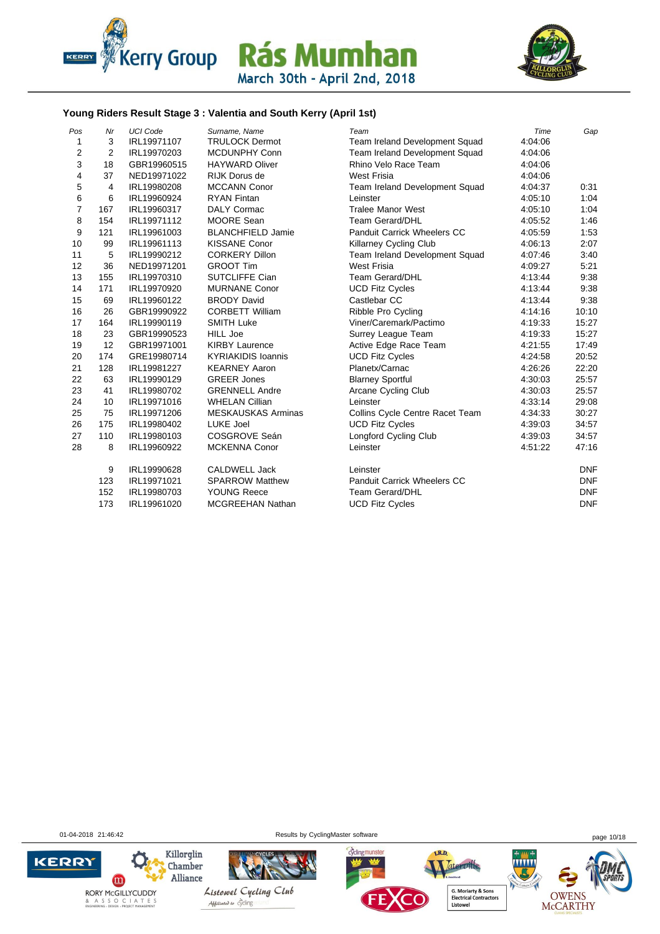



#### **Young Riders Result Stage 3 : Valentia and South Kerry (April 1st)**

| Pos            | Nr  | <b>UCI Code</b> | Surname, Name             | Team                            | Time    | Gap        |
|----------------|-----|-----------------|---------------------------|---------------------------------|---------|------------|
| 1              | 3   | IRL19971107     | <b>TRULOCK Dermot</b>     | Team Ireland Development Squad  | 4:04:06 |            |
| $\overline{2}$ | 2   | IRL19970203     | <b>MCDUNPHY Conn</b>      | Team Ireland Development Squad  | 4:04:06 |            |
| 3              | 18  | GBR19960515     | <b>HAYWARD Oliver</b>     | Rhino Velo Race Team            | 4:04:06 |            |
| 4              | 37  | NED19971022     | <b>RIJK Dorus de</b>      | <b>West Frisia</b>              | 4:04:06 |            |
| 5              | 4   | IRL19980208     | <b>MCCANN Conor</b>       | Team Ireland Development Squad  | 4:04:37 | 0:31       |
| 6              | 6   | IRL19960924     | <b>RYAN Fintan</b>        | Leinster                        | 4:05:10 | 1:04       |
| $\overline{7}$ | 167 | IRL19960317     | <b>DALY Cormac</b>        | <b>Tralee Manor West</b>        | 4:05:10 | 1:04       |
| 8              | 154 | IRL19971112     | <b>MOORE Sean</b>         | <b>Team Gerard/DHL</b>          | 4:05:52 | 1:46       |
| 9              | 121 | IRL19961003     | <b>BLANCHFIELD Jamie</b>  | Panduit Carrick Wheelers CC     | 4:05:59 | 1:53       |
| 10             | 99  | IRL19961113     | <b>KISSANE Conor</b>      | <b>Killarney Cycling Club</b>   | 4:06:13 | 2:07       |
| 11             | 5   | IRL19990212     | <b>CORKERY Dillon</b>     | Team Ireland Development Squad  | 4:07:46 | 3:40       |
| 12             | 36  | NED19971201     | <b>GROOT Tim</b>          | <b>West Frisia</b>              | 4:09:27 | 5:21       |
| 13             | 155 | IRL19970310     | <b>SUTCLIFFE Cian</b>     | <b>Team Gerard/DHL</b>          | 4:13:44 | 9:38       |
| 14             | 171 | IRL19970920     | <b>MURNANE Conor</b>      | <b>UCD Fitz Cycles</b>          | 4:13:44 | 9:38       |
| 15             | 69  | IRL19960122     | <b>BRODY David</b>        | Castlebar CC                    | 4:13:44 | 9:38       |
| 16             | 26  | GBR19990922     | <b>CORBETT William</b>    | Ribble Pro Cycling              | 4:14:16 | 10:10      |
| 17             | 164 | IRL19990119     | <b>SMITH Luke</b>         | Viner/Caremark/Pactimo          | 4:19:33 | 15:27      |
| 18             | 23  | GBR19990523     | <b>HILL Joe</b>           | Surrey League Team              | 4:19:33 | 15:27      |
| 19             | 12  | GBR19971001     | <b>KIRBY Laurence</b>     | Active Edge Race Team           | 4:21:55 | 17:49      |
| 20             | 174 | GRE19980714     | <b>KYRIAKIDIS Ioannis</b> | <b>UCD Fitz Cycles</b>          | 4:24:58 | 20:52      |
| 21             | 128 | IRL19981227     | <b>KEARNEY Aaron</b>      | Planetx/Carnac                  | 4:26:26 | 22:20      |
| 22             | 63  | IRL19990129     | <b>GREER Jones</b>        | <b>Blarney Sportful</b>         | 4:30:03 | 25:57      |
| 23             | 41  | IRL19980702     | <b>GRENNELL Andre</b>     | <b>Arcane Cycling Club</b>      | 4:30:03 | 25:57      |
| 24             | 10  | IRL19971016     | <b>WHELAN Cillian</b>     | Leinster                        | 4:33:14 | 29:08      |
| 25             | 75  | IRL19971206     | <b>MESKAUSKAS Arminas</b> | Collins Cycle Centre Racet Team | 4:34:33 | 30:27      |
| 26             | 175 | IRL19980402     | LUKE Joel                 | <b>UCD Fitz Cycles</b>          | 4:39:03 | 34:57      |
| 27             | 110 | IRL19980103     | COSGROVE Seán             | Longford Cycling Club           | 4:39:03 | 34:57      |
| 28             | 8   | IRL19960922     | <b>MCKENNA Conor</b>      | Leinster                        | 4:51:22 | 47:16      |
|                | 9   | IRL19990628     | <b>CALDWELL Jack</b>      | Leinster                        |         | <b>DNF</b> |
|                | 123 | IRL19971021     | <b>SPARROW Matthew</b>    | Panduit Carrick Wheelers CC     |         | <b>DNF</b> |
|                | 152 | IRL19980703     | <b>YOUNG Reece</b>        | <b>Team Gerard/DHL</b>          |         | <b>DNF</b> |
|                | 173 | IRL19961020     | <b>MCGREEHAN Nathan</b>   | <b>UCD Fitz Cycles</b>          |         | <b>DNF</b> |

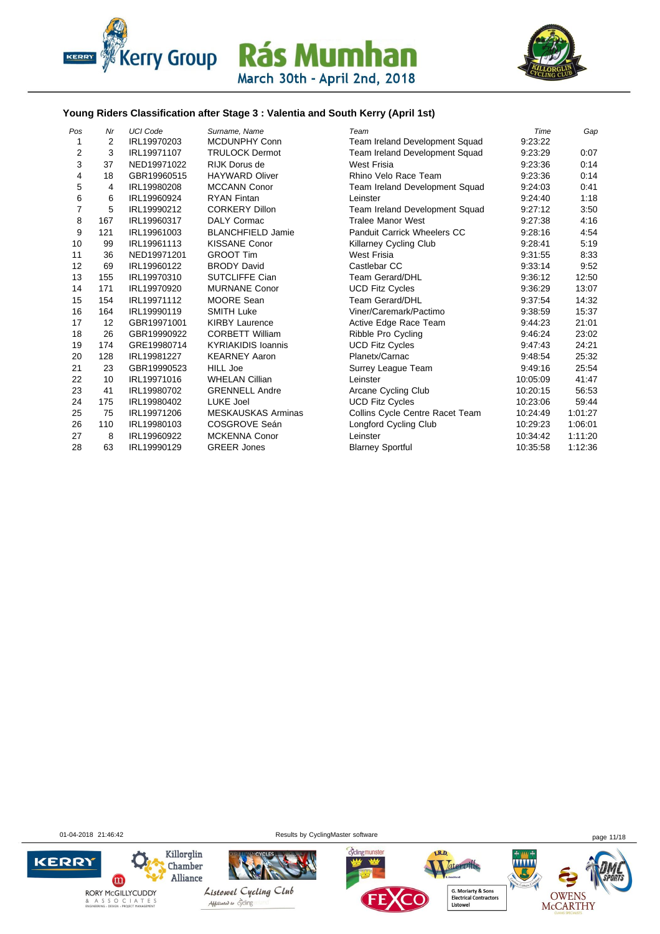



#### **Young Riders Classification after Stage 3 : Valentia and South Kerry (April 1st)**

| Pos            | Nr  | <b>UCI Code</b> | Surname, Name             | Team                               | Time     | Gap     |
|----------------|-----|-----------------|---------------------------|------------------------------------|----------|---------|
| 1              | 2   | IRL19970203     | <b>MCDUNPHY Conn</b>      | Team Ireland Development Squad     | 9:23:22  |         |
| 2              | 3   | IRL19971107     | <b>TRULOCK Dermot</b>     | Team Ireland Development Squad     | 9:23:29  | 0:07    |
| 3              | 37  | NED19971022     | RIJK Dorus de             | West Frisia                        | 9:23:36  | 0:14    |
| 4              | 18  | GBR19960515     | <b>HAYWARD Oliver</b>     | Rhino Velo Race Team               | 9:23:36  | 0:14    |
| 5              | 4   | IRL19980208     | <b>MCCANN Conor</b>       | Team Ireland Development Squad     | 9:24:03  | 0:41    |
| 6              | 6   | IRL19960924     | <b>RYAN Fintan</b>        | Leinster                           | 9:24:40  | 1:18    |
| $\overline{7}$ | 5   | IRL19990212     | <b>CORKERY Dillon</b>     | Team Ireland Development Squad     | 9:27:12  | 3:50    |
| 8              | 167 | IRL19960317     | <b>DALY Cormac</b>        | <b>Tralee Manor West</b>           | 9:27:38  | 4:16    |
| 9              | 121 | IRL19961003     | <b>BLANCHFIELD Jamie</b>  | <b>Panduit Carrick Wheelers CC</b> | 9:28:16  | 4:54    |
| 10             | 99  | IRL19961113     | <b>KISSANE Conor</b>      | <b>Killarney Cycling Club</b>      | 9:28:41  | 5:19    |
| 11             | 36  | NED19971201     | <b>GROOT Tim</b>          | West Frisia                        | 9:31:55  | 8:33    |
| 12             | 69  | IRL19960122     | <b>BRODY David</b>        | Castlebar CC                       | 9:33:14  | 9:52    |
| 13             | 155 | IRL19970310     | <b>SUTCLIFFE Cian</b>     | <b>Team Gerard/DHL</b>             | 9:36:12  | 12:50   |
| 14             | 171 | IRL19970920     | <b>MURNANE Conor</b>      | <b>UCD Fitz Cycles</b>             | 9:36:29  | 13:07   |
| 15             | 154 | IRL19971112     | <b>MOORE Sean</b>         | Team Gerard/DHL                    | 9:37:54  | 14:32   |
| 16             | 164 | IRL19990119     | <b>SMITH Luke</b>         | Viner/Caremark/Pactimo             | 9:38:59  | 15:37   |
| 17             | 12  | GBR19971001     | <b>KIRBY Laurence</b>     | Active Edge Race Team              | 9:44:23  | 21:01   |
| 18             | 26  | GBR19990922     | <b>CORBETT William</b>    | Ribble Pro Cycling                 | 9:46:24  | 23:02   |
| 19             | 174 | GRE19980714     | <b>KYRIAKIDIS Ioannis</b> | <b>UCD Fitz Cycles</b>             | 9:47:43  | 24:21   |
| 20             | 128 | IRL19981227     | <b>KEARNEY Aaron</b>      | Planetx/Carnac                     | 9:48:54  | 25:32   |
| 21             | 23  | GBR19990523     | <b>HILL Joe</b>           | Surrey League Team                 | 9:49:16  | 25:54   |
| 22             | 10  | IRL19971016     | <b>WHELAN Cillian</b>     | Leinster                           | 10:05:09 | 41:47   |
| 23             | 41  | IRL19980702     | <b>GRENNELL Andre</b>     | Arcane Cycling Club                | 10:20:15 | 56:53   |
| 24             | 175 | IRL19980402     | LUKE Joel                 | <b>UCD Fitz Cycles</b>             | 10:23:06 | 59:44   |
| 25             | 75  | IRL19971206     | <b>MESKAUSKAS Arminas</b> | Collins Cycle Centre Racet Team    | 10:24:49 | 1.01.27 |
| 26             | 110 | IRL19980103     | COSGROVE Seán             | Longford Cycling Club              | 10:29:23 | 1:06:01 |
| 27             | 8   | IRL19960922     | <b>MCKENNA Conor</b>      | Leinster                           | 10:34:42 | 1:11:20 |
| 28             | 63  | IRL19990129     | <b>GREER Jones</b>        | <b>Blarney Sportful</b>            | 10:35:58 | 1:12:36 |

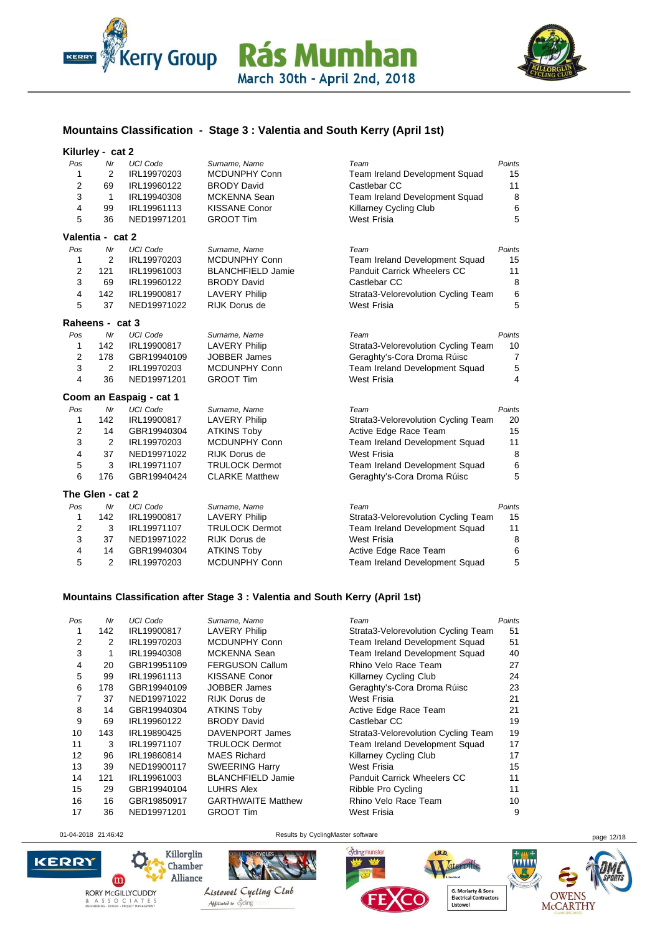



#### **Mountains Classification - Stage 3 : Valentia and South Kerry (April 1st)**

#### **Kilurley - cat 2**

| Pos            | Nr               | <b>UCI Code</b>         | Surname, Name            | Team                                  | Points         |
|----------------|------------------|-------------------------|--------------------------|---------------------------------------|----------------|
| 1              | 2                | IRL19970203             | <b>MCDUNPHY Conn</b>     | <b>Team Ireland Development Squad</b> | 15             |
| $\overline{2}$ | 69               | IRL19960122             | <b>BRODY David</b>       | Castlebar CC                          | 11             |
| 3              | 1                | IRL19940308             | <b>MCKENNA Sean</b>      | Team Ireland Development Squad        | 8              |
| $\overline{4}$ | 99               | IRL19961113             | <b>KISSANE Conor</b>     | Killarney Cycling Club                | 6              |
| 5              | 36               | NED19971201             | <b>GROOT Tim</b>         | <b>West Frisia</b>                    | 5              |
|                | Valentia - cat 2 |                         |                          |                                       |                |
| Pos            | Mr               | <b>UCI Code</b>         | Surname, Name            | Team                                  | Points         |
| 1              | $\overline{2}$   | IRL19970203             | MCDUNPHY Conn            | Team Ireland Development Squad        | 15             |
| $\overline{2}$ | 121              | IRL19961003             | <b>BLANCHFIELD Jamie</b> | <b>Panduit Carrick Wheelers CC</b>    | 11             |
| 3              | 69               | IRL19960122             | <b>BRODY David</b>       | Castlebar CC                          | 8              |
| 4              | 142              | IRL19900817             | <b>LAVERY Philip</b>     | Strata3-Velorevolution Cycling Team   | 6              |
| 5              | 37               | NED19971022             | RIJK Dorus de            | <b>West Frisia</b>                    | 5              |
|                | Raheens - cat 3  |                         |                          |                                       |                |
| Pos            | Mr               | <b>UCI Code</b>         | Surname, Name            | Team                                  | Points         |
| 1              | 142              | IRL19900817             | <b>LAVERY Philip</b>     | Strata3-Velorevolution Cycling Team   | 10             |
| $\overline{2}$ | 178              | GBR19940109             | <b>JOBBER James</b>      | Geraghty's-Cora Droma Rúisc           | $\overline{7}$ |
| 3              | $\overline{2}$   | IRL19970203             | <b>MCDUNPHY Conn</b>     | Team Ireland Development Squad        | 5              |
| 4              | 36               | NED19971201             | <b>GROOT Tim</b>         | <b>West Frisia</b>                    | 4              |
|                |                  | Coom an Easpaig - cat 1 |                          |                                       |                |
| Pos            | Mr               | <b>UCI Code</b>         | Surname, Name            | Team                                  | Points         |
| 1              | 142              | IRL19900817             | <b>LAVERY Philip</b>     | Strata3-Velorevolution Cycling Team   | 20             |
| $\overline{2}$ | 14               | GBR19940304             | <b>ATKINS Toby</b>       | Active Edge Race Team                 | 15             |
| 3              | $\overline{2}$   | IRL19970203             | <b>MCDUNPHY Conn</b>     | Team Ireland Development Squad        | 11             |
| $\overline{4}$ | 37               | NED19971022             | <b>RIJK Dorus de</b>     | <b>West Frisia</b>                    | 8              |
| 5              | 3                | IRL19971107             | <b>TRULOCK Dermot</b>    | Team Ireland Development Squad        | 6              |
| 6              | 176              | GBR19940424             | <b>CLARKE Matthew</b>    | Geraghty's-Cora Droma Rúisc           | 5              |
|                | The Glen - cat 2 |                         |                          |                                       |                |
| Pos            | Nr               | <b>UCI Code</b>         | Surname, Name            | Team                                  | Points         |
| 1              | 142              | IRL19900817             | <b>LAVERY Philip</b>     | Strata3-Velorevolution Cycling Team   | 15             |
| $\overline{2}$ | 3                | IRL19971107             | <b>TRULOCK Dermot</b>    | Team Ireland Development Squad        | 11             |
| 3              | 37               | NED19971022             | RIJK Dorus de            | <b>West Frisia</b>                    | 8              |
| 4              | 14               | GBR19940304             | <b>ATKINS Toby</b>       | Active Edge Race Team                 | 6              |
| 5              | $\overline{2}$   | IRL19970203             | <b>MCDUNPHY Conn</b>     | Team Ireland Development Squad        | 5              |
|                |                  |                         |                          |                                       |                |

#### **Mountains Classification after Stage 3 : Valentia and South Kerry (April 1st)**

| Pos | Nr  | <b>UCI</b> Code | Surname, Name             | Team                                | Points |
|-----|-----|-----------------|---------------------------|-------------------------------------|--------|
| 1   | 142 | IRL19900817     | <b>LAVERY Philip</b>      | Strata3-Velorevolution Cycling Team | 51     |
| 2   | 2   | IRL19970203     | MCDUNPHY Conn             | Team Ireland Development Squad      | 51     |
| 3   | 1   | IRL19940308     | MCKENNA Sean              | Team Ireland Development Squad      | 40     |
| 4   | 20  | GBR19951109     | <b>FERGUSON Callum</b>    | Rhino Velo Race Team                | 27     |
| 5   | 99  | IRL19961113     | <b>KISSANE Conor</b>      | Killarney Cycling Club              | 24     |
| 6   | 178 | GBR19940109     | <b>JOBBER James</b>       | Geraghty's-Cora Droma Rúisc         | 23     |
| 7   | 37  | NED19971022     | RIJK Dorus de             | West Frisia                         | 21     |
| 8   | 14  | GBR19940304     | <b>ATKINS Toby</b>        | Active Edge Race Team               | 21     |
| 9   | 69  | IRL19960122     | <b>BRODY David</b>        | Castlebar CC                        | 19     |
| 10  | 143 | IRL19890425     | DAVENPORT James           | Strata3-Velorevolution Cycling Team | 19     |
| 11  | 3   | IRL19971107     | <b>TRULOCK Dermot</b>     | Team Ireland Development Squad      | 17     |
| 12  | 96  | IRL19860814     | <b>MAES Richard</b>       | Killarney Cycling Club              | 17     |
| 13  | 39  | NED19900117     | <b>SWEERING Harry</b>     | West Frisia                         | 15     |
| 14  | 121 | IRL19961003     | <b>BLANCHFIELD Jamie</b>  | Panduit Carrick Wheelers CC         | 11     |
| 15  | 29  | GBR19940104     | <b>LUHRS Alex</b>         | Ribble Pro Cycling                  | 11     |
| 16  | 16  | GBR19850917     | <b>GARTHWAITE Matthew</b> | Rhino Velo Race Team                | 10     |
| 17  | 36  | NED19971201     | <b>GROOT Tim</b>          | West Frisia                         | 9      |

01-04-2018 21:46:42 Results by CyclingMaster software page 12/18

cyclingmunster





LR.D.

G. Moriarty & Sons<br>Electrical Contractors<br>Listowel

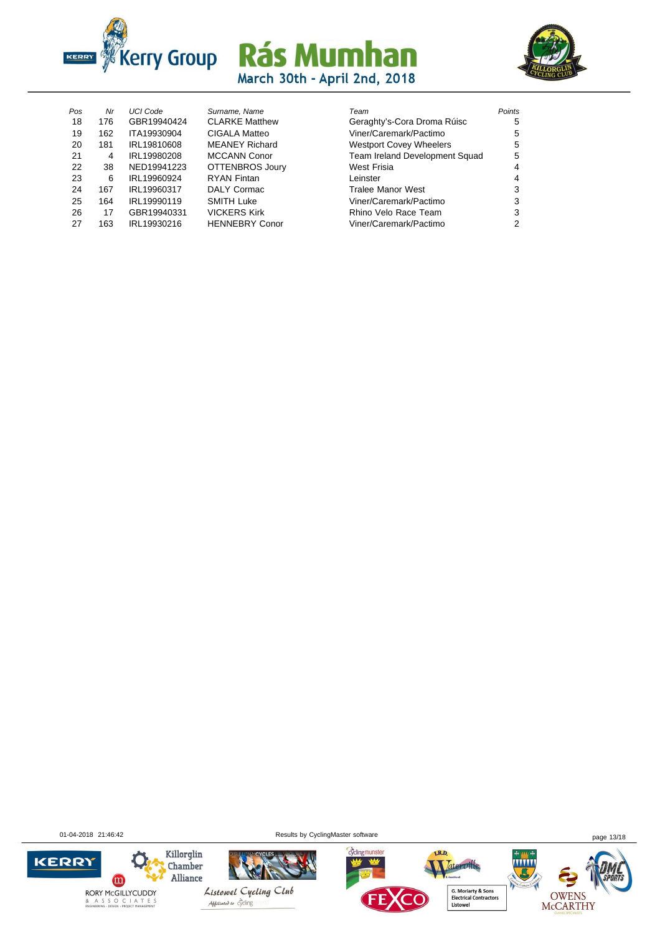



| Pos | Nr  | <b>UCI Code</b> |
|-----|-----|-----------------|
|     |     |                 |
| 18  | 176 | GBR19940424     |
| 19  | 162 | ITA19930904     |
| 20  | 181 | IRL19810608     |
| 21  | 4   | IRL19980208     |
| 22  | 38  | NED19941223     |
| 23  | 6   | IRL19960924     |
| 24  | 167 | IRL19960317     |
| 25  | 164 | IRI 19990119    |
| 26  | 17  | GBR19940331     |
| 27  | 163 | IRL19930216     |
|     |     |                 |

| Surname, Name          | Team                           | Points |
|------------------------|--------------------------------|--------|
| <b>CLARKE Matthew</b>  | Geraghty's-Cora Droma Rúisc    | 5      |
| <b>CIGALA Matteo</b>   | Viner/Caremark/Pactimo         | 5      |
| <b>MEANEY Richard</b>  | <b>Westport Covey Wheelers</b> | 5      |
| <b>MCCANN Conor</b>    | Team Ireland Development Squad | 5      |
| <b>OTTENBROS Joury</b> | West Frisia                    | 4      |
| <b>RYAN Fintan</b>     | Leinster                       | 4      |
| <b>DALY Cormac</b>     | <b>Tralee Manor West</b>       | 3      |
| <b>SMITH Luke</b>      | Viner/Caremark/Pactimo         | 3      |
| <b>VICKERS Kirk</b>    | Rhino Velo Race Team           | 3      |
| <b>HENNEBRY Conor</b>  | Viner/Caremark/Pactimo         | 2      |

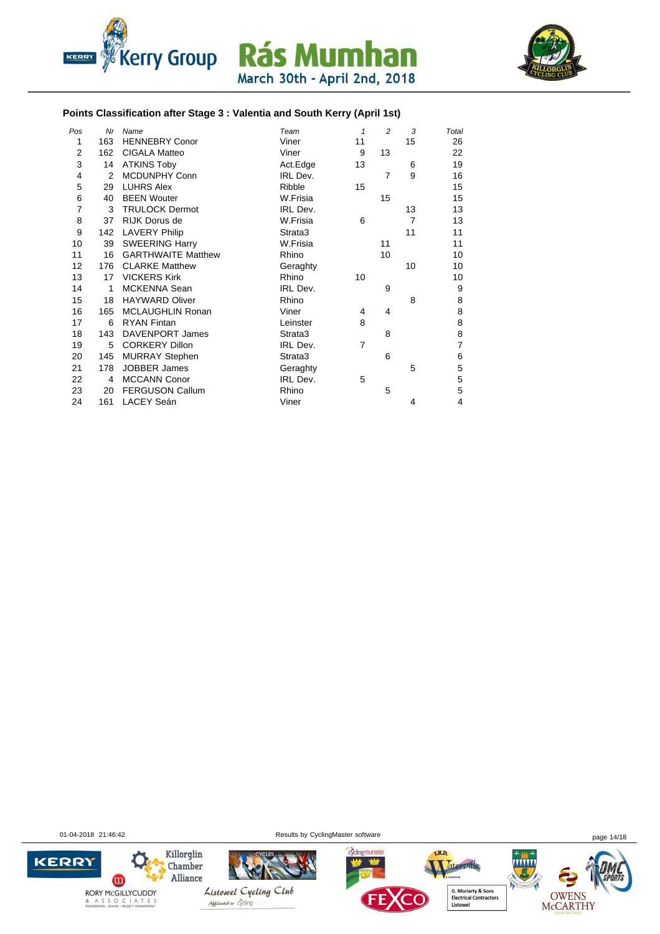



#### **Points Classification after Stage 3 : Valentia and South Kerry (April 1st)**

| Pos            | Nr  | Name                      | Team     | $\mathbf{1}$   | $\overline{c}$ | 3              | Total          |
|----------------|-----|---------------------------|----------|----------------|----------------|----------------|----------------|
| 1              | 163 | <b>HENNEBRY Conor</b>     | Viner    | 11             |                | 15             | 26             |
| $\overline{2}$ | 162 | <b>CIGALA Matteo</b>      | Viner    | 9              | 13             |                | 22             |
| 3              | 14  | <b>ATKINS Toby</b>        | Act.Edge | 13             |                | 6              | 19             |
| 4              | 2   | <b>MCDUNPHY Conn</b>      | IRL Dev. |                | 7              | 9              | 16             |
| 5              | 29  | <b>LUHRS Alex</b>         | Ribble   | 15             |                |                | 15             |
| 6              | 40  | <b>BEEN Wouter</b>        | W.Frisia |                | 15             |                | 15             |
| $\overline{7}$ | 3   | <b>TRULOCK Dermot</b>     | IRL Dev. |                |                | 13             | 13             |
| 8              | 37  | RIJK Dorus de             | W.Frisia | 6              |                | $\overline{7}$ | 13             |
| 9              | 142 | <b>LAVERY Philip</b>      | Strata3  |                |                | 11             | 11             |
| 10             | 39  | <b>SWEERING Harry</b>     | W.Frisia |                | 11             |                | 11             |
| 11             | 16  | <b>GARTHWAITE Matthew</b> | Rhino    |                | 10             |                | 10             |
| 12             | 176 | <b>CLARKE Matthew</b>     | Geraghty |                |                | 10             | 10             |
| 13             | 17  | <b>VICKERS Kirk</b>       | Rhino    | 10             |                |                | 10             |
| 14             | 1   | <b>MCKENNA Sean</b>       | IRL Dev. |                | 9              |                | 9              |
| 15             | 18  | <b>HAYWARD Oliver</b>     | Rhino    |                |                | 8              | 8              |
| 16             | 165 | MCLAUGHLIN Ronan          | Viner    | 4              | 4              |                | 8              |
| 17             | 6   | <b>RYAN Fintan</b>        | Leinster | 8              |                |                | 8              |
| 18             | 143 | DAVENPORT James           | Strata3  |                | 8              |                | 8              |
| 19             | 5   | <b>CORKERY Dillon</b>     | IRL Dev. | $\overline{7}$ |                |                | $\overline{7}$ |
| 20             | 145 | <b>MURRAY Stephen</b>     | Strata3  |                | 6              |                | 6              |
| 21             | 178 | <b>JOBBER James</b>       | Geraghty |                |                | 5              | 5              |
| 22             | 4   | <b>MCCANN Conor</b>       | IRL Dev. | 5              |                |                | 5              |
| 23             | 20  | <b>FERGUSON Callum</b>    | Rhino    |                | 5              |                | 5              |
| 24             | 161 | LACEY Seán                | Viner    |                |                | 4              | 4              |

01-04-2018 21:46:42 Results by CyclingMaster software page 14/18

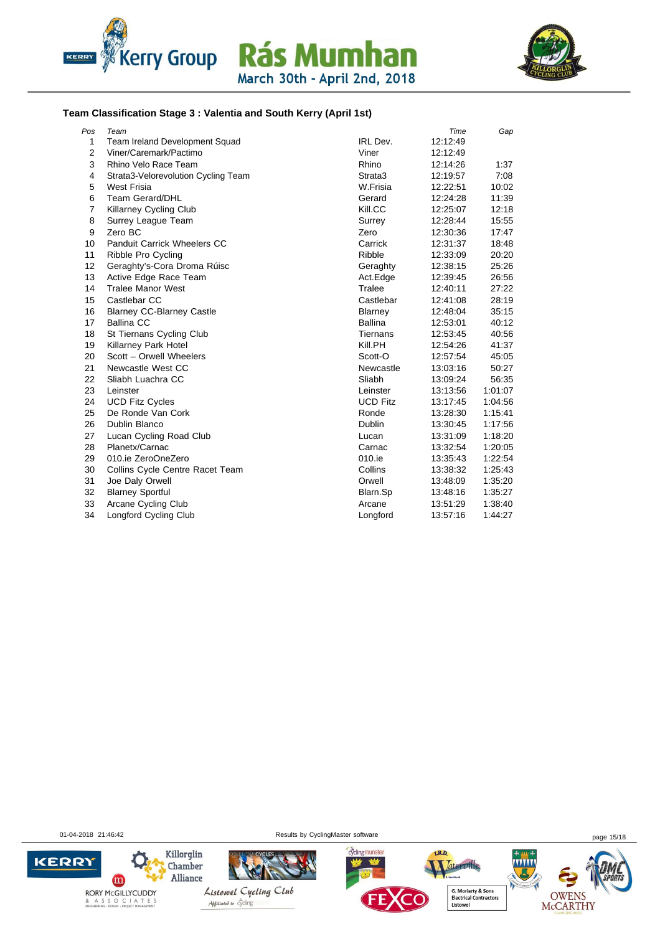



#### **Team Classification Stage 3 : Valentia and South Kerry (April 1st)**

| Pos            | Team                                |                 | Time     | Gap     |
|----------------|-------------------------------------|-----------------|----------|---------|
| $\mathbf{1}$   | Team Ireland Development Squad      | <b>IRL</b> Dev. | 12:12:49 |         |
| $\overline{2}$ | Viner/Caremark/Pactimo              | Viner           | 12:12:49 |         |
| 3              | Rhino Velo Race Team                | Rhino           | 12:14:26 | 1:37    |
| $\overline{4}$ | Strata3-Velorevolution Cycling Team | Strata3         | 12:19:57 | 7:08    |
| 5              | West Frisia                         | W.Frisia        | 12:22:51 | 10:02   |
| 6              | <b>Team Gerard/DHL</b>              | Gerard          | 12:24:28 | 11:39   |
| $\overline{7}$ | Killarney Cycling Club              | Kill.CC         | 12:25:07 | 12:18   |
| 8              | Surrey League Team                  | Surrey          | 12:28:44 | 15:55   |
| 9              | Zero BC                             | Zero            | 12:30:36 | 17:47   |
| 10             | <b>Panduit Carrick Wheelers CC</b>  | Carrick         | 12:31:37 | 18:48   |
| 11             | Ribble Pro Cycling                  | Ribble          | 12:33:09 | 20:20   |
| 12             | Geraghty's-Cora Droma Rúisc         | Geraghty        | 12:38:15 | 25:26   |
| 13             | Active Edge Race Team               | Act.Edge        | 12:39:45 | 26:56   |
| 14             | <b>Tralee Manor West</b>            | Tralee          | 12:40:11 | 27:22   |
| 15             | Castlebar CC                        | Castlebar       | 12:41:08 | 28:19   |
| 16             | <b>Blarney CC-Blarney Castle</b>    | Blarney         | 12:48:04 | 35:15   |
| 17             | <b>Ballina CC</b>                   | <b>Ballina</b>  | 12:53:01 | 40:12   |
| 18             | St Tiernans Cycling Club            | Tiernans        | 12:53:45 | 40:56   |
| 19             | Killarney Park Hotel                | Kill.PH         | 12:54:26 | 41:37   |
| 20             | Scott - Orwell Wheelers             | Scott-O         | 12:57:54 | 45:05   |
| 21             | Newcastle West CC                   | Newcastle       | 13:03:16 | 50:27   |
| 22             | Sliabh Luachra CC                   | Sliabh          | 13:09:24 | 56:35   |
| 23             | Leinster                            | Leinster        | 13:13:56 | 1:01:07 |
| 24             | <b>UCD Fitz Cycles</b>              | <b>UCD Fitz</b> | 13:17:45 | 1:04:56 |
| 25             | De Ronde Van Cork                   | Ronde           | 13:28:30 | 1:15:41 |
| 26             | Dublin Blanco                       | <b>Dublin</b>   | 13:30:45 | 1:17:56 |
| 27             | Lucan Cycling Road Club             | Lucan           | 13:31:09 | 1:18:20 |
| 28             | Planetx/Carnac                      | Carnac          | 13:32:54 | 1:20:05 |
| 29             | 010.je ZeroOneZero                  | 010.ie          | 13:35:43 | 1:22:54 |
| 30             | Collins Cycle Centre Racet Team     | Collins         | 13:38:32 | 1:25:43 |
| 31             | Joe Daly Orwell                     | Orwell          | 13:48:09 | 1:35:20 |
| 32             | <b>Blarney Sportful</b>             | Blarn.Sp        | 13:48:16 | 1:35:27 |
| 33             | Arcane Cycling Club                 | Arcane          | 13:51:29 | 1:38:40 |
| 34             | Longford Cycling Club               | Longford        | 13:57:16 | 1:44:27 |

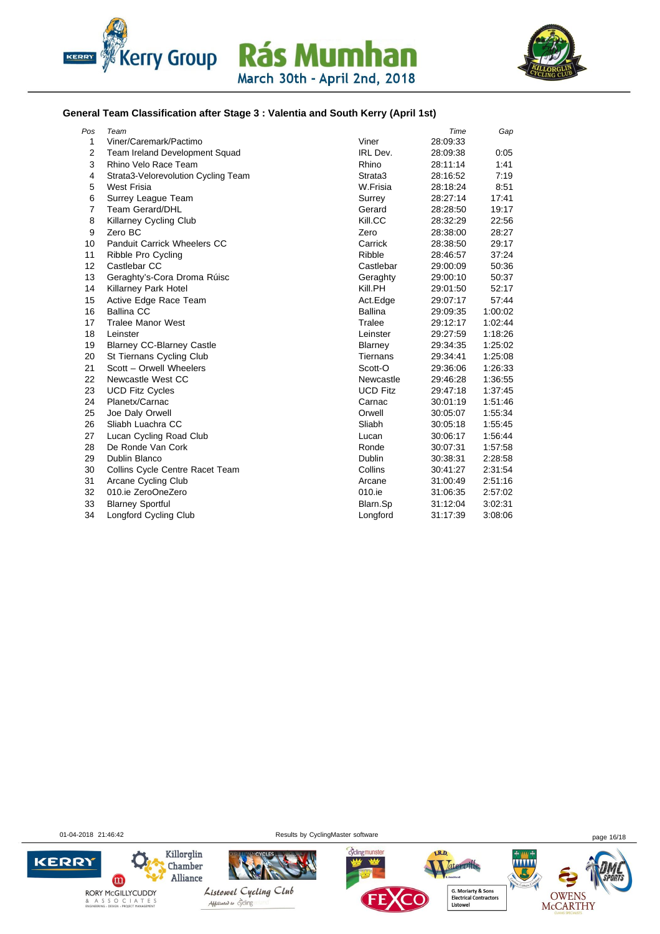



#### **General Team Classification after Stage 3 : Valentia and South Kerry (April 1st)**

| Pos            | Team                                  |                 | Time     | Gap     |
|----------------|---------------------------------------|-----------------|----------|---------|
| $\mathbf{1}$   | Viner/Caremark/Pactimo                | Viner           | 28:09:33 |         |
| $\overline{2}$ | <b>Team Ireland Development Squad</b> | IRL Dev.        | 28:09:38 | 0:05    |
| 3              | Rhino Velo Race Team                  | Rhino           | 28:11:14 | 1:41    |
| 4              | Strata3-Velorevolution Cycling Team   | Strata3         | 28:16:52 | 7:19    |
| 5              | West Frisia                           | W.Frisia        | 28:18:24 | 8:51    |
| 6              | Surrey League Team                    | Surrey          | 28:27:14 | 17:41   |
| $\overline{7}$ | <b>Team Gerard/DHL</b>                | Gerard          | 28:28:50 | 19:17   |
| 8              | <b>Killarney Cycling Club</b>         | Kill.CC         | 28:32:29 | 22:56   |
| 9              | Zero BC                               | Zero            | 28:38:00 | 28:27   |
| 10             | Panduit Carrick Wheelers CC           | Carrick         | 28:38:50 | 29:17   |
| 11             | Ribble Pro Cycling                    | Ribble          | 28:46:57 | 37:24   |
| 12             | Castlebar CC                          | Castlebar       | 29:00:09 | 50:36   |
| 13             | Geraghty's-Cora Droma Rúisc           | Geraghty        | 29:00:10 | 50:37   |
| 14             | Killarney Park Hotel                  | Kill.PH         | 29:01:50 | 52:17   |
| 15             | Active Edge Race Team                 | Act.Edge        | 29:07:17 | 57:44   |
| 16             | <b>Ballina CC</b>                     | Ballina         | 29:09:35 | 1:00:02 |
| 17             | <b>Tralee Manor West</b>              | Tralee          | 29:12:17 | 1:02:44 |
| 18             | Leinster                              | Leinster        | 29:27:59 | 1:18:26 |
| 19             | <b>Blarney CC-Blarney Castle</b>      | Blarney         | 29:34:35 | 1:25:02 |
| 20             | St Tiernans Cycling Club              | Tiernans        | 29:34:41 | 1:25:08 |
| 21             | Scott - Orwell Wheelers               | Scott-O         | 29:36:06 | 1:26:33 |
| 22             | Newcastle West CC                     | Newcastle       | 29:46:28 | 1:36:55 |
| 23             | <b>UCD Fitz Cycles</b>                | <b>UCD Fitz</b> | 29.47.18 | 1:37:45 |
| 24             | Planetx/Carnac                        | Carnac          | 30:01:19 | 1:51:46 |
| 25             | Joe Daly Orwell                       | Orwell          | 30:05:07 | 1:55:34 |
| 26             | Sliabh Luachra CC                     | Sliabh          | 30:05:18 | 1:55:45 |
| 27             | Lucan Cycling Road Club               | Lucan           | 30:06:17 | 1.56:44 |
| 28             | De Ronde Van Cork                     | Ronde           | 30:07:31 | 1:57:58 |
| 29             | Dublin Blanco                         | Dublin          | 30:38:31 | 2:28:58 |
| 30             | Collins Cycle Centre Racet Team       | Collins         | 30:41:27 | 2:31:54 |
| 31             | Arcane Cycling Club                   | Arcane          | 31:00:49 | 2:51:16 |
| 32             | 010.ie ZeroOneZero                    | 010.ie          | 31:06:35 | 2:57:02 |
| 33             | <b>Blarney Sportful</b>               | Blarn.Sp        | 31:12:04 | 3:02:31 |
| 34             | Longford Cycling Club                 | Longford        | 31:17:39 | 3:08:06 |

01-04-2018 21:46:42 Results by CyclingMaster software page 16/18

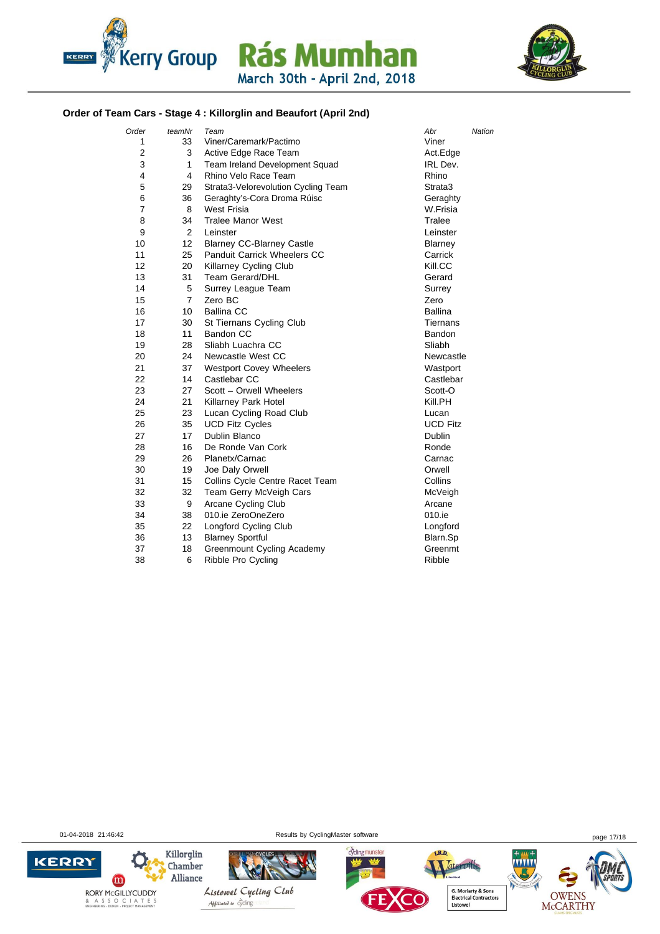



#### **Order of Team Cars - Stage 4 : Killorglin and Beaufort (April 2nd)**

| Order | teamNr         | Team                                | Abr<br>Nation   |
|-------|----------------|-------------------------------------|-----------------|
| 1     | 33             | Viner/Caremark/Pactimo              | Viner           |
| 2     | 3              | Active Edge Race Team               | Act.Edge        |
| 3     | 1              | Team Ireland Development Squad      | IRL Dev.        |
| 4     | 4              | Rhino Velo Race Team                | Rhino           |
| 5     | 29             | Strata3-Velorevolution Cycling Team | Strata3         |
| 6     | 36             | Geraghty's-Cora Droma Rúisc         | Geraghty        |
| 7     | 8              | <b>West Frisia</b>                  | W.Frisia        |
| 8     | 34             | <b>Tralee Manor West</b>            | Tralee          |
| 9     | 2              | Leinster                            | Leinster        |
| 10    | 12             | <b>Blarney CC-Blarney Castle</b>    | <b>Blarney</b>  |
| 11    | 25             | <b>Panduit Carrick Wheelers CC</b>  | Carrick         |
| 12    | 20             | <b>Killarney Cycling Club</b>       | Kill.CC         |
| 13    | 31             | <b>Team Gerard/DHL</b>              | Gerard          |
| 14    | 5              | Surrey League Team                  | Surrey          |
| 15    | $\overline{7}$ | Zero BC                             | Zero            |
| 16    | 10             | <b>Ballina CC</b>                   | <b>Ballina</b>  |
| 17    | 30             | St Tiernans Cycling Club            | Tiernans        |
| 18    | 11             | Bandon CC                           | Bandon          |
| 19    | 28             | Sliabh Luachra CC                   | Sliabh          |
| 20    | 24             | Newcastle West CC                   | Newcastle       |
| 21    | 37             | <b>Westport Covey Wheelers</b>      | Wastport        |
| 22    | 14             | Castlebar CC                        | Castlebar       |
| 23    | 27             | Scott - Orwell Wheelers             | Scott-O         |
| 24    | 21             | Killarney Park Hotel                | Kill.PH         |
| 25    | 23             | Lucan Cycling Road Club             | Lucan           |
| 26    | 35             | <b>UCD Fitz Cycles</b>              | <b>UCD Fitz</b> |
| 27    | 17             | Dublin Blanco                       | Dublin          |
| 28    | 16             | De Ronde Van Cork                   | Ronde           |
| 29    | 26             | Planetx/Carnac                      | Carnac          |
| 30    | 19             | Joe Daly Orwell                     | Orwell          |
| 31    | 15             | Collins Cycle Centre Racet Team     | Collins         |
| 32    | 32             | Team Gerry McVeigh Cars             | McVeigh         |
| 33    | 9              | Arcane Cycling Club                 | Arcane          |
| 34    | 38             | 010.ie ZeroOneZero                  | 010.ie          |
| 35    | 22             | Longford Cycling Club               | Longford        |
| 36    | 13             | <b>Blarney Sportful</b>             | Blarn.Sp        |
| 37    | 18             | <b>Greenmount Cycling Academy</b>   | Greenmt         |
| 38    | 6              | Ribble Pro Cycling                  | Ribble          |

01-04-2018 21:46:42 page 17/18